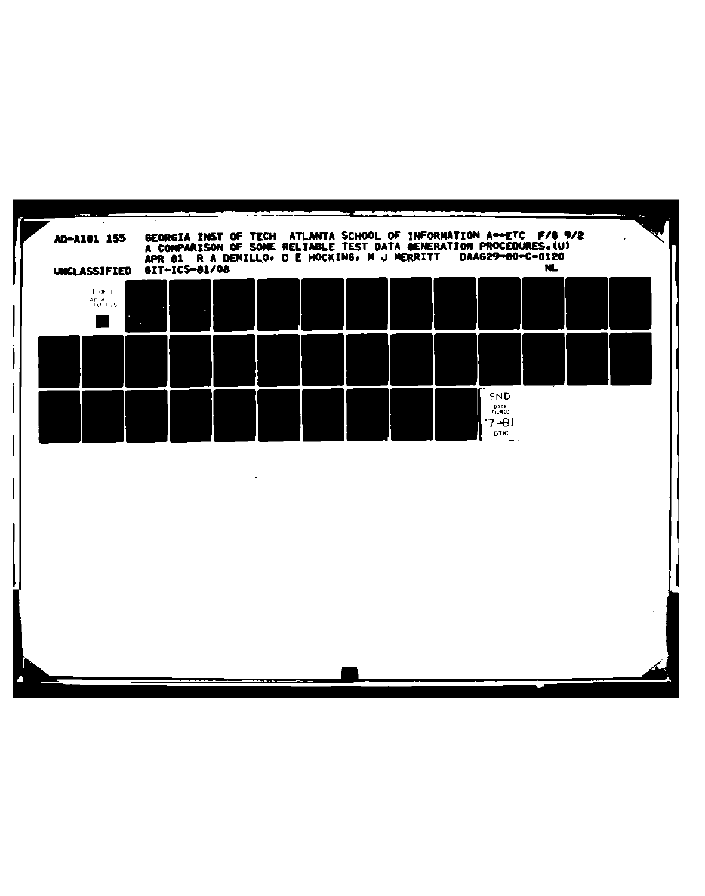| UNCLASSIFIED 6IT-ICS-81/08     |  | GEORGIA INST OF TECH ATLANTA SCHOOL OF INFORMATION A-ETC F/6 9/2<br>A COMPARISON OF SOME RELIABLE TEST DATA GENERATION PROCEDURES.(U)<br>APR 81 R A DENILLO, D E HOCKING, N J MERRITT |  |  | DAA629-80-C-0120      | NL. |  |
|--------------------------------|--|---------------------------------------------------------------------------------------------------------------------------------------------------------------------------------------|--|--|-----------------------|-----|--|
| $1 + 1$<br>$^{40.4}_{-101155}$ |  |                                                                                                                                                                                       |  |  |                       |     |  |
|                                |  |                                                                                                                                                                                       |  |  |                       |     |  |
|                                |  |                                                                                                                                                                                       |  |  | END<br>DATE<br>FILMED |     |  |
|                                |  |                                                                                                                                                                                       |  |  | $7 - 81$<br>DTIC      |     |  |
|                                |  |                                                                                                                                                                                       |  |  |                       |     |  |
|                                |  |                                                                                                                                                                                       |  |  |                       |     |  |
|                                |  |                                                                                                                                                                                       |  |  |                       |     |  |
|                                |  |                                                                                                                                                                                       |  |  |                       |     |  |
|                                |  |                                                                                                                                                                                       |  |  |                       |     |  |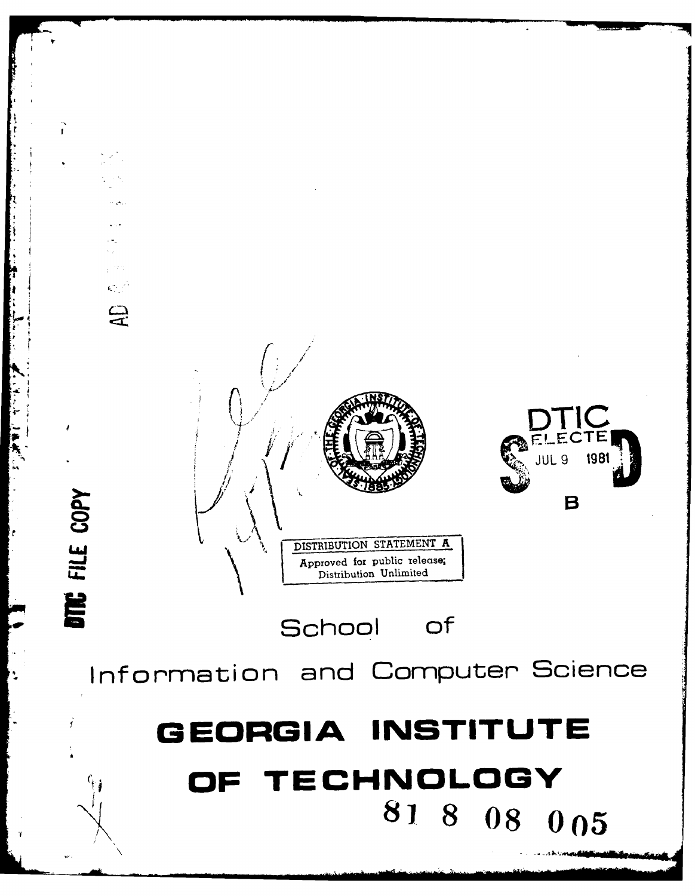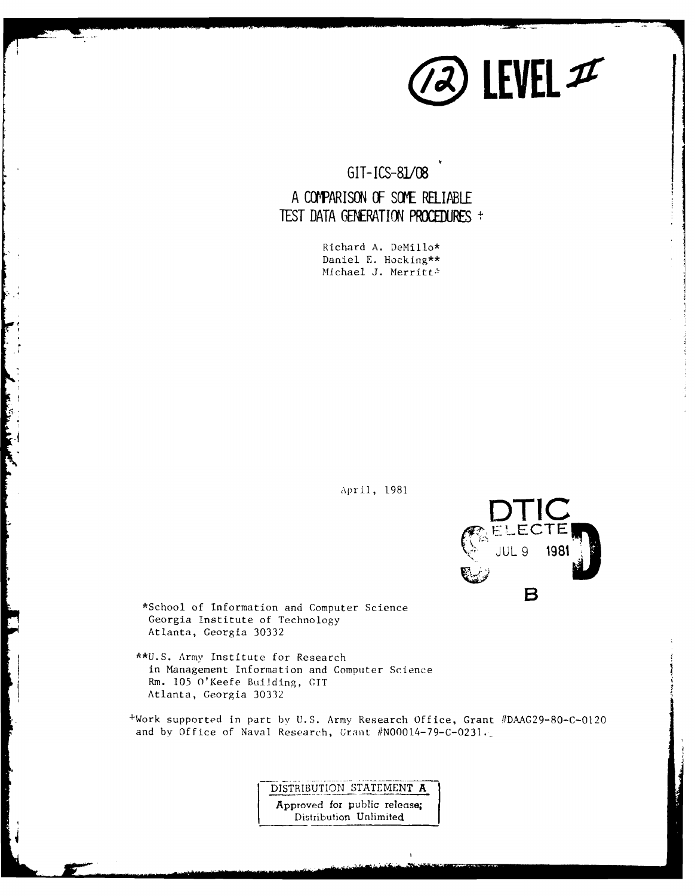

**GIT- ICS-8/08**

# **A CCWARISON** OF SOME RELIABLE **TEST DATA GENERATION PROCEDURES +**

Richard **A.** DeMillo\* Daniel **E.** Hocking\*\* Michael J. Merritt<sup>\*</sup>

April, **1981**



\*School of Information and Computer Science Georgia Institute of Technology Atlanta, Georgia **30332**

**\*\*U.S** Army Institute for Research in Management Information and Computer Science **Rmn. 105** O'Keefe Building, OTT Atlanta, Georgia **30332**

+Work supported in part **b%, U.S.** Army Research Office, Grant **#DAAG29-80-C-0120** and by Office of Naval Research, Grant **/N00014-79-C-0231.**

> **DISTRIBUTION STATEMENT A** Approved for public release; Distribution Unlimited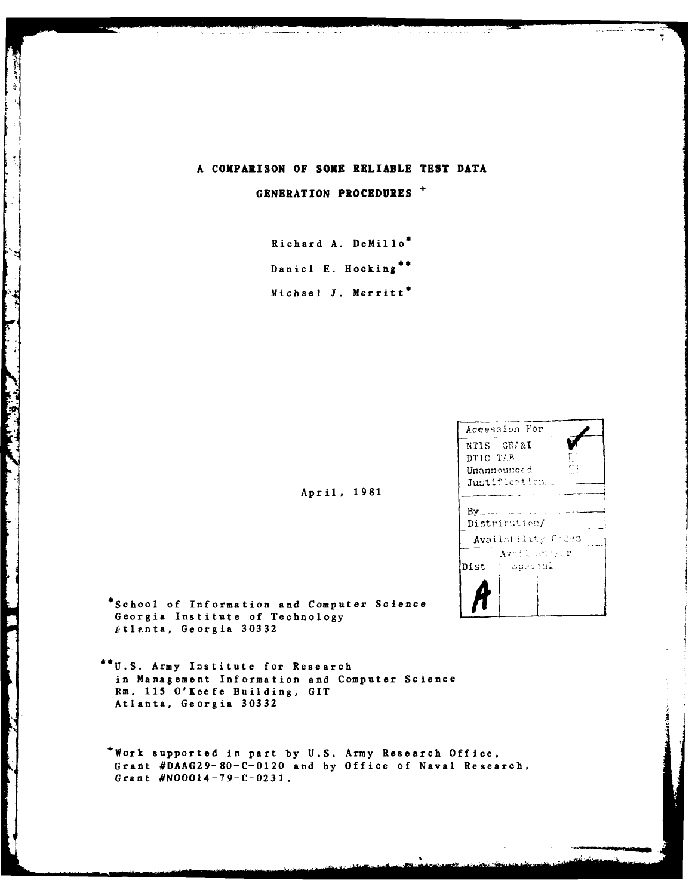#### A COMPARISON OF SOME RELIABLE TEST DATA

GENERATION PROCEDURES +

Richard A. DeMillo\* Daniel E. Hocking\*\* Michael J. Merritt\*

April, 1981

| Accession For                       |  |
|-------------------------------------|--|
| NTIS GEA&I                          |  |
| DTIC TAB                            |  |
| Unannounced                         |  |
| Justification =                     |  |
| Distribution/<br>Availability Codes |  |
| Avril annivr<br>– Suecial<br>Dist   |  |
|                                     |  |

\*School of Information and Computer Science Georgia Institute of Technology Atlanta, Georgia 30332

Ŕ

**Contract Contract Contract Contract Contract Contract Contract Contract Contract Contract Contract Contract Contract Contract Contract Contract Contract Contract Contract Contract Contract Contract Contract Contract Contr** 

and the company of the company of the company of the company of the company of

\*\*U.S. Army Institute for Research in Management Information and Computer Science Rm. 115 O'Keefe Building, GIT Atlanta, Georgia 30332

\*Work supported in part by U.S. Army Research Office, Grant #DAAG29-80-C-0120 and by Office of Naval Research, Grant #N00014-79-C-0231.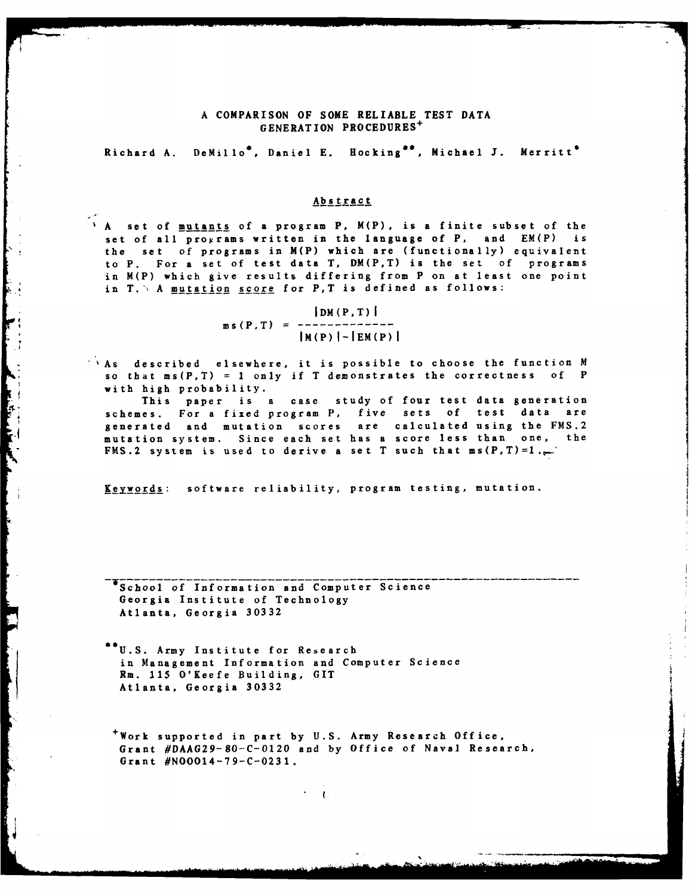#### **A** COMPARISON OF **SOME** RELIABLE **TEST DATA GENERATION** PROCEDURES<sup>+</sup>

Richard **A.** DeMillo\*, Daniel **E.** Rocking\*, Michael **J.** Merritt\*

#### Abstract

**A** set of <u>mutants</u> of a program P. M(P), is a finite subset of the set of all programs written in the language of P, and EM(P) is set of all  $\overline{p} \cdot \overline{p}$  and  $\overline{p} \cdot \overline{p}$  and  $\overline{p} \cdot \overline{p}$  and  $\overline{p} \cdot \overline{p}$  and  $\overline{p} \cdot \overline{p}$  and  $\overline{p} \cdot \overline{p}$ the set of programs in M(P) which are (functionally) equivalent to **P.** For a set of test data T, DM(P,T) is the set of programs in M(P) which give results differing from P on at least one point in T. \ A **mutation score** for P, T is defined as follows:

> $|DM(P,T)|$  $ms(P, T) = -1$  $|M(P)| - |EM(P)|$

 $A$ s described elsewhere, it is possible to choose the function  $M$ so that ms(P,T) **<sup>=</sup>1** only if T demonstrates the correctness **of P** with high probability.

This paper is a case study of four test data generation schemes. For a fixed program P, five sets of test data are generated and mutation scores are calculated using the **FMS.2** mutation system. Since each set has a score less than one, the **FMS.2** system is used to derive a set T such that  $ms(P,T)=1$ ,

**Keywords:** software reliability, program testing, mutation.

**-** School of Information and Computer Science Georgia Institute of Technology Atlanta, Georgia **30332**

I

**U.S.** Army Institute for Research in Management Information and Computer Science Rm. **115** O'Keefe Building, **GIT** Atlanta, Georgia **30332**

+Work supported in part **by U.S.** Army Research Office, Grant **#DAAG29-80-C-0120** and **by** Office of Naval Research, Grant **#NO0014-79-C-0231.**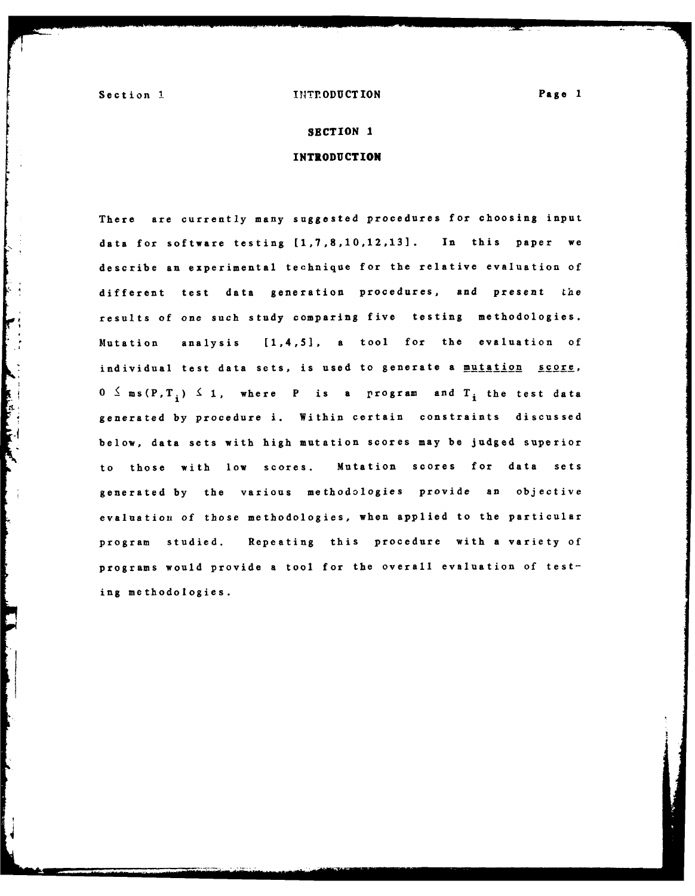#### Section 1. **INTP.ODUCTION Page 1**

#### **SECTION 1**

## **INTRODUCTION**

There are currently many suggested procedures for choosing input data for software testing [1,7,8,10,12,13]. In this paper we describe an experimental technique for the relative evaluation of different test data generation procedures, and present the **too,** results of one such study comparing five testing methodologies. Mutation analysis [1,4,5], a tool for the evaluation of individual test data sets, is used to generate a mutation score,  $0 \leq m s(P, T_i) \leq 1$ , where P is a program and  $T_i$  the test data generated **by** procedure i. Within certain constraints discussed FA below, data sets with high mutation scores may **be** judged superior to those with low scores. Mutation scores for data sets generated **by** the various methodologies provide an objective evaluation of those methodologies, when applied to the particular program studied. Repeating this procedure with a variety of programs would provide a tool for the overall evaluation of testing methodologies.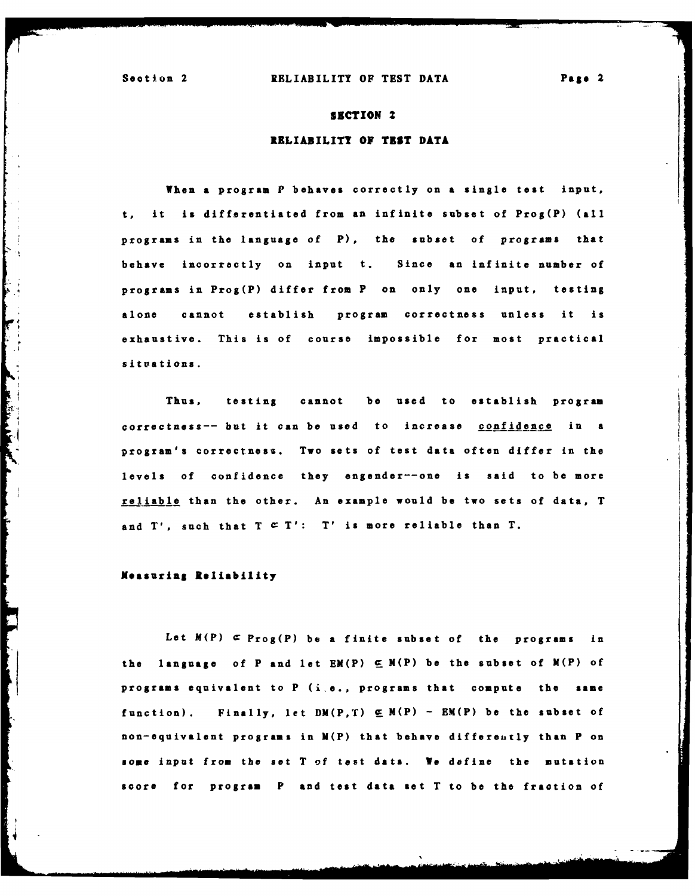#### **SECTION** 2

#### RELIABILITY **OF TEST DATA**

When a program P behaves correctly on **a** single test input, t, it is differentiated from an infinite subset of Prog(P) **(all** programs in the language of **P),** the subset of programs that behave incorrectly on input t. Since an infinite number of programs in Prog(P) differ from P on only one input, testing alone cannot establish program correctness unless it is exhaustive. This is of course impossible **for** most practical situations.

Thus, testing cannot **be** used to establish program correctness-- but it can **be** used to increase confidence in a program's correctness. **Two** sets of test data often differ in the levels of confidence they engender--one is said to **be** more reliable than the other. An example would be two sets of data, T and  $T'$ , such that  $T \subseteq T'$ :  $T'$  is more reliable than  $T$ .

#### **Measuring Reliability**

**Let** M(P) **C** Prog(P) be a finite subset of the programs in the language of P and let  $EM(P) \subseteq M(P)$  be the subset of  $M(P)$  of programs equivalent to P (ije., programs that compute the **same** function). Finally, let DM(P,T) **E** M(P) **- EM(P) be** the subset of non-equivalent programs in M(P) that behave differeutly than P on some input from the set T **of** test data. We define the mutation score for **program P and test data set** T to **be** the fraction of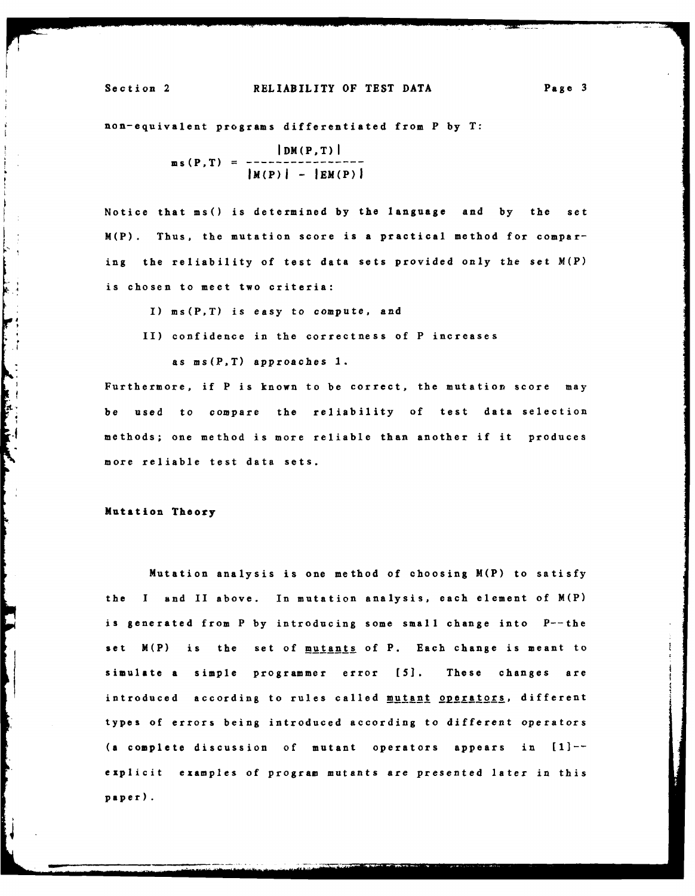#### Section 2 RELIABILITY OF **TEST DATA** Page **3**

## non-equivalent programs differentiated from P **by** T:

 $|DM(P,T)|$  $ms(P, T) = ---$ **IM(P)I - IEM(P)I**

Notice that **ms()** is determined **by** the language and **by** the set M(P). Thus, the mutation score is a practical method for comparing the reliability of test data sets provided only the set M(P) is chosen to meet two criteria:

I) ms(P,T) is easy to compute, and

II) confidence in the correctness of P increases

as ms(P,T) approaches **1.**

Furthermore, if P is known to be correct, the mutation score may be used to compare the reliability of test data selection methods; one method is more reliable than another if it produces more reliable test data sets.

Mutation Theory

**Communication** 

Mutation analysis is one method of choosing M(P) to satisfy the **I** and II above. In mutation analysis, each element of M(P) is generated from P **by** introducing some small change into P--the set M(P) is the set of mutants of P. Each change is meant to simulate a simple programmer error **[51.** These changes are introduced according to rules called mutant operators, different types of errors being introduced according to different operators **(a** complete discussion of mutant operators appears in **[I]-** explicit examples of program mutants are presented later in this paper).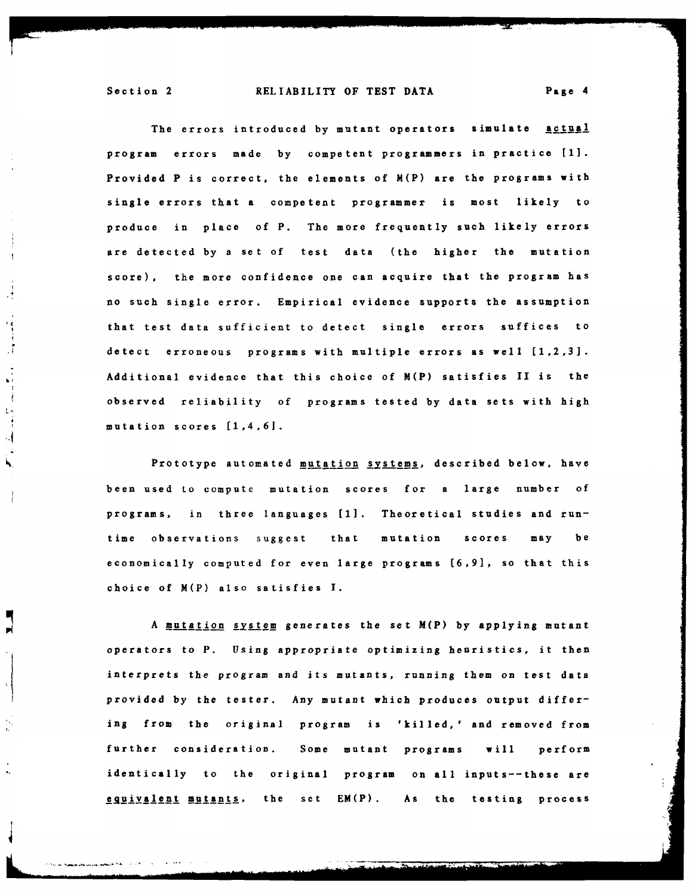#### Section 2 RELIABILITY OF **TEST DATA Page** 4

The errors introduced **by** mutant operators simulate actual program errors made **by** competent programmers in practice **[1].** Provided P is correct, the elements of M(P) are the programs with single errors that a competent programmer is most likely to produce in place **of P.** The more frequently such likely errors are detected **by** a set of test data (the higher the mutation score), the more confidence one can acquire that the program has no such single error. Empirical evidence supports the assumption that test data sufficient to detect single errors suffices to detect erroneous programs with multiple errors as well **(1,2,3].** Additional evidence that this choice of M(P) satisfies **II** is the observed reliability of programs tested **by** data sets with high mutation scores (1,4,61.

Prototype automated mutation systems, described below, have been used to compute mutation scores **for** a large number of programs, in three languages **[1].** Theoretical studies and runtime observations suggest that mutation scores may be economically computed **for** even large programs **[6,9],** so that this choice of M(P) also satisfies **I.**

**<sup>A</sup>**mutation system generates the set M(P) **by** applying mutant operators to P. Using appropriate optimizing heuristics, it then interprets the program and its mutants, running them on test data provided **by** the tester. Any mutant which produces output differing from the original program **is** 'killed,' and removed from further consideration. Some mutant programs will perform identically to the original program on all inputs--these are eguivalent mutants, the set **EM(P).** As the testing process

 $\cdot$ 

 $\frac{1}{2}$ 

 $\mathbb{R}^2$ 

 $\begin{array}{c} \n\mathbf{r} \\ \n\vdots \\ \n\end{array}$  $\cdot$ 

N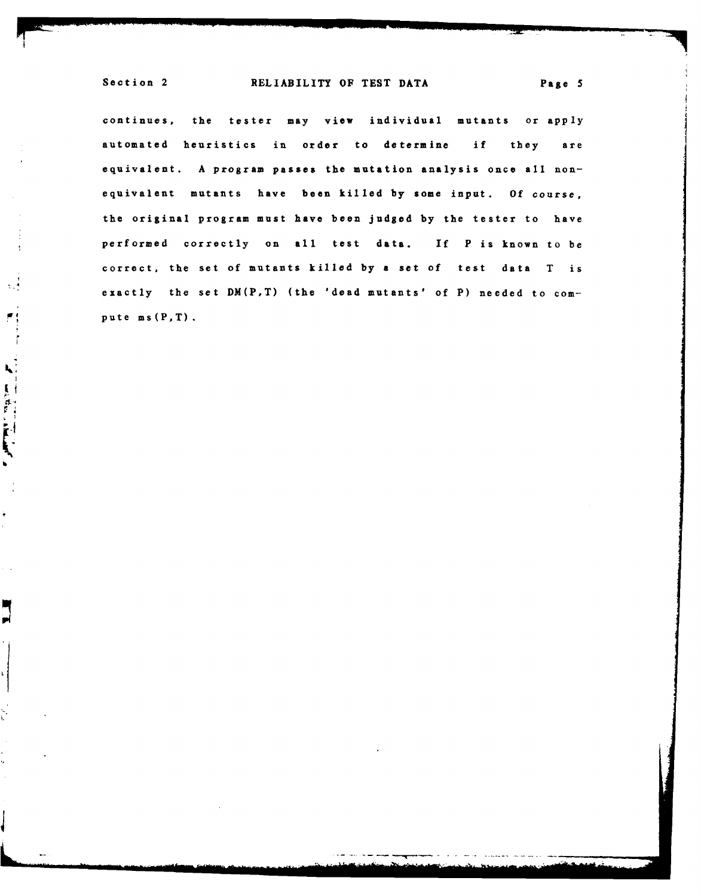$\sim$   $\sim$ 

۴, ों

**Commentant** 

į.

Ę Н

continues, the tester may view individual mutants or apply automated heuristics in order to determine if they are equivalent. **A** program passes the mutation analysis once all nonequivalent mutants have been killed **by** some input. **Of** course, the original program must have been **judged by** the tester to have performed correctly on all test data. **if** P is known to be correct, the set of mutants killed **by** a set of test data T is exactly the set DM(P,T) (the 'dead mutants' **of** P) needed to compute ms(P,T).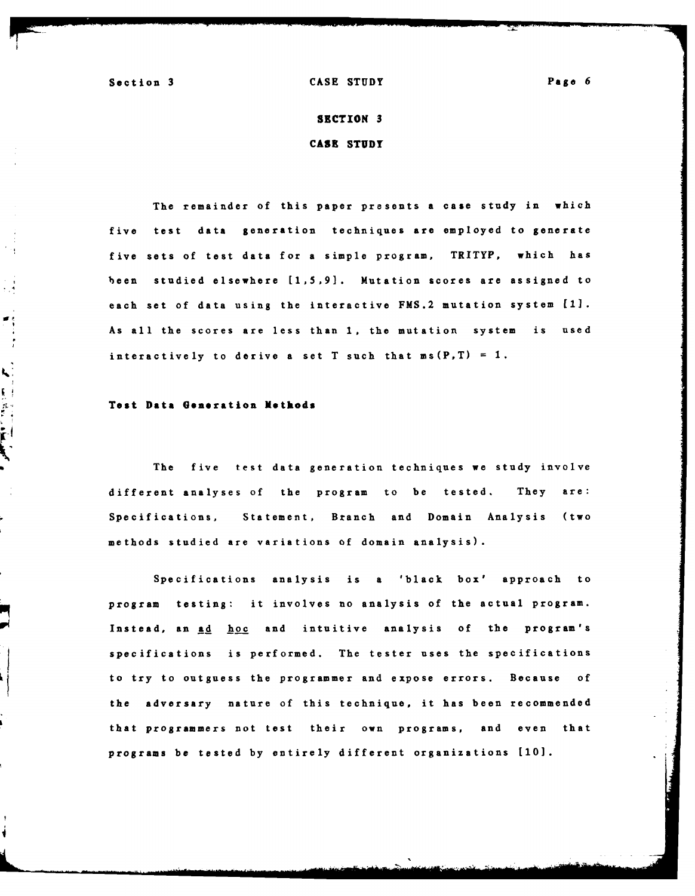原型

 $\frac{1}{2}$ 

Section **3 CASE STUDY** Page **6**

# **SECTION 3 CASE STUDY**

The remainder of this paper presents a case study in which five test data generation techniques are employed to generate five sets of test data for a simple program, TRITYP, which has been studied elsewhere **[1,5,9].** Mutation scores are assigned to each set of data using the interactive FMS.2 mutation system [1]. As all the scores are less than **1,** the mutation system is used interactively to derive a set T such that  $ms(P, T) = 1$ .

#### **Test Data Generation Methods**

The five test data generation techniques we study involve different analyses of the program to be tested. They are: Specifications, Statement, Branch and Domain Analysis (two methods studied are variations of domain analysis).

Specifications analysis is a 'black box' approach to program testing: it involves no analysis of the actual program. Instead, an ad hoc and intuitive analysis of the program's specifications is performed. The tester uses the specifications to try to outguess the programmer and expose errors. Because **of** the adversary nature of this technique, it has been recommended that programmers not test their own programs, and even that programs be tested **by** entirely different organizations **[10].**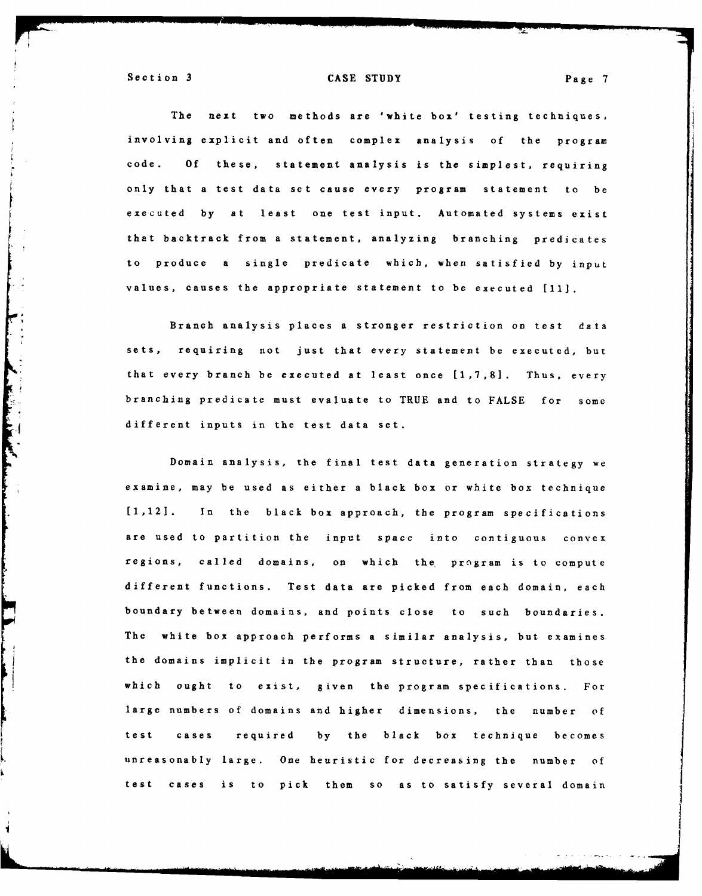**Property of the Second Second Second Second Second Second Second Second Second Second Second Second Second Second Second Second Second Second Second Second Second Second Second Second Second Second Second Second Second Se** 

#### Section **3 CASE STUDY** Page **7**

The next two methods are 'white box' testing techniques, involving explicit and often complex analysis **of** the program code. **Of** these, statement analysis is the simplest, requiring only that a test data set cause every program statement to be executed **by** at least one test input. Automated systems exist that backtrack from a statement, analyzing branching predicates to produce a single predicate which, when satisfied **by** input values, causes the appropriate statement to be executed **[11].**

Branch analysis places a stronger restriction on test data sets, requiring not just that every statement be executed, but that every branch be executed at least once **[1,7,8].** Thus, every branching predicate must evaluate to TRUE and to **FALSE** for **some** different inputs in the test data set.

Domain analysis, the final test data generation strategy we examine, may be used as either a black box or white box technique [1,12]. In the black box approach, the program specifications are used to partition the input space into contiguous convex regions, called domains, on which the program is to compute different functions. Test data are picked from each domain, each boundary between domains, and points close to such boundaries. The white box approach performs a similar analysis, but examines the domains implicit in the program structure, rather than those which ought to exist, given the program specifications. For large numbers of domains and higher dimensions, the number of test cases required **by** the black box technique becomes unreasonably large. One heuristic for decreasing the number of test cases is to pick them **so** as to satisfy several domain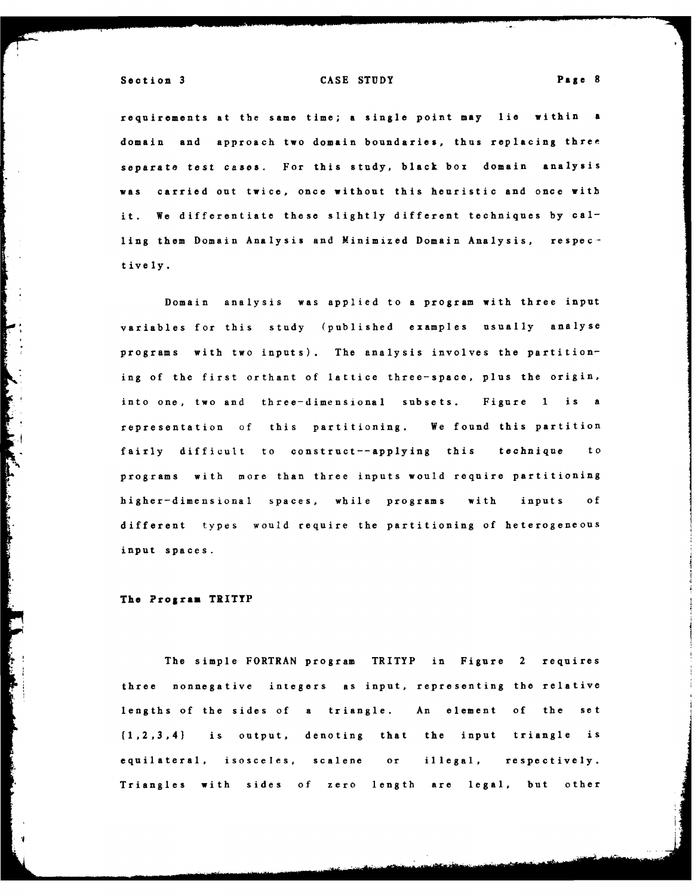requirements at the same time; a single point may lie within a domain and approach two domain boundaries, thus replacing three separate test cases. For this study, black **box** domain analysis was carried out twice, once without this heuristic and once **with** it. We differentiate these slightly different techniques **by** calling them Domain Analysis and Minimized Domain Analysis, respec**t ive** ly.

Domain analysis was applied to a program with three input variables for this study (published examples usually analyse programs with two inputs). The analysis involves the partitioning of the first orthant of lattice three-space, plus the origin, into one, two and three-dimensional subsets. Figure **1** is a representation **of** this partitioning. We found this partition fairly difficult to construct--applying this technique to programs with more than three inputs would require partitioning higher-dimensional spaces, while programs with inputs **of** different types would require the partitioning of heterogeneous input spaces.

#### **The Program TRITYP**

**Contract Contract Contract** 

The simple FORTRAN program TRITYP in Figure 2 requires three nonnegative integers as input, representing the relative lengths of the sides of a triangle. An element **of** the set (1,2,3,41 is output, denoting that the input triangle is equilateral, isosceles, scalene or illegal, respectively. Triangles with sides **of zero** length are **legal,** but other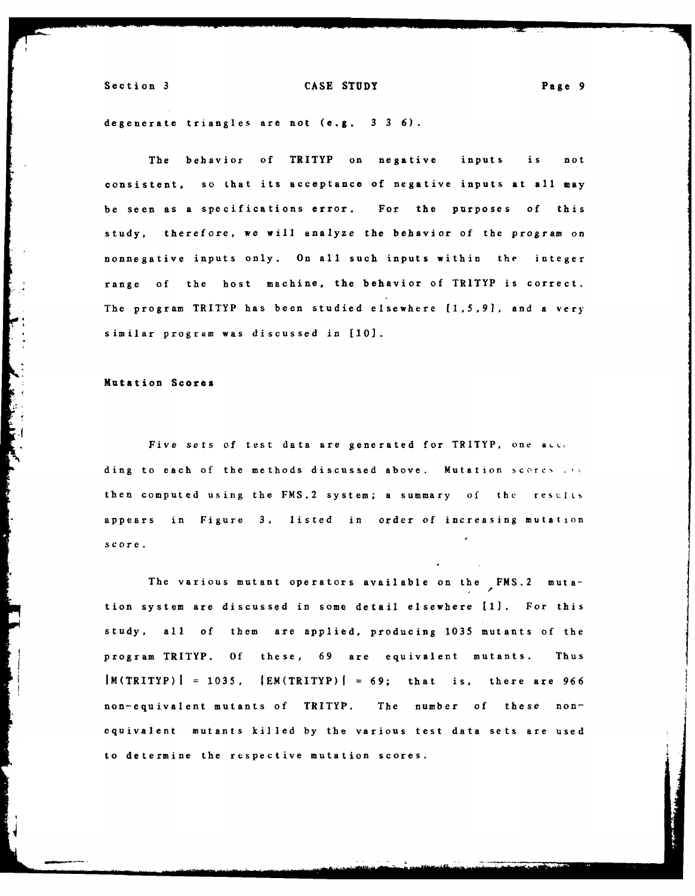degenerate triangles are not (e.g. **3 3 6).**

The behavior of TRITYP on negative inputs is not consistent, so that its acceptance of negative inputs at all may be seen as a specifications error. For the purposes **of** this study, therefore, we will analyze the behavior of the program on nonnegative inputs only. On all such inputs within the integer range **of** the host machine, the behavior of TRITYP is correct. The program TRITYP has been studied elsewhere **[,5.91,** and a very similar program was discussed in **[10].**

#### Mutation **Scores**

Five sets of test data are generated for TRITYP, one acce ding to each of the methods discussed above. Mutation scores . .. then computed using the **FMS.2** system; a summary **of** the results appears in Figure **3,** listed in order of increasing mutation score.

The various mutant operators available on the **FMS.2** mutation system are discussed in some detail elsewhere **[1].** For this study, all **of** them are applied, producing **1035** mutants of the program TRITYP. **Of** these, **69** are equivalent mutants. Thus IM(TRITYP) **= 1035,** IEM(TRITYP)l **= 69;** that is, there are **966** non-equivalent mutants of TRITYP. The number of these nonequivalent mutants killed by the various test data sets are used to determine the respective mutation scores.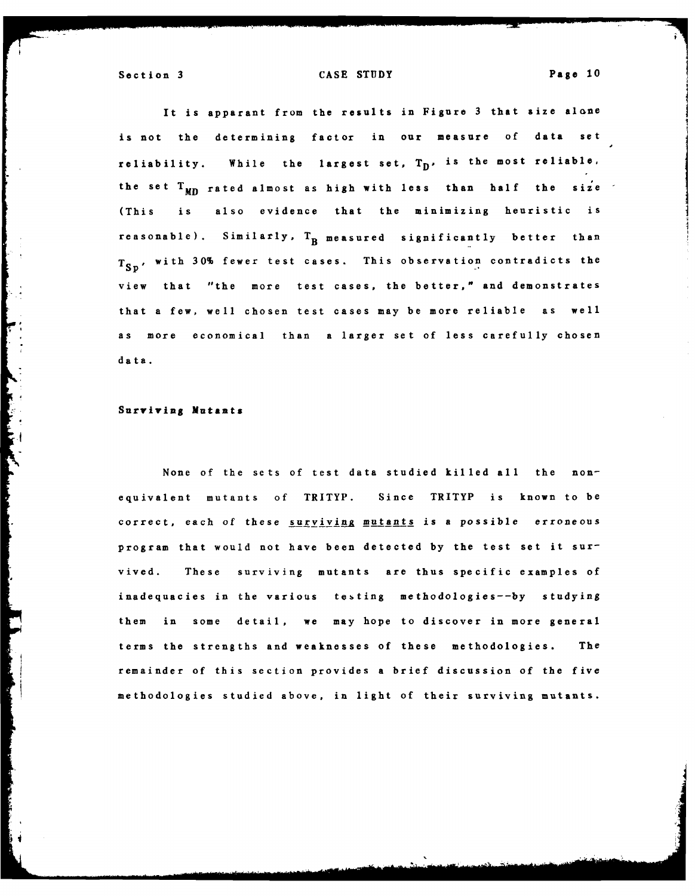It is apparant from the results in Figure **3** that size alone is not the determining factor in our measure of data set reliability. While the largest set,  $T_D$ , is the most reliable, the set  $T_{MD}$  rated almost as high with less than half the size (This is also evidence that the minimizing heuristic is reasonable). Similarly,  $T_B$  measured significantly better than T<sub>Sn</sub>, with 30% fewer test cases. This observation contradicts the view that "the more test cases, the better," and demonstrates that a few, well chosen test cases may be more reliable as well **as** more economical than a larger set of less carefully chosen **data.**

#### Surviving **Mutants**

None of the sets of test data studied killed all the nonequivalent mutants **of** TRITYP. Since TRITYP is known to be correct, each of these surviving mutants is a possible erroneous program that would not have been detected **by** the test set it survived. These surviving mutants are thus specific examples of inadequacies in the various testing methodologies--by studying them in some detail, we may hope to discover in more general terms the strengths and weaknesses of these methodologies. The remainder of this section provides a brief discussion of the five methodologies studied above, in light of their surviving mutants.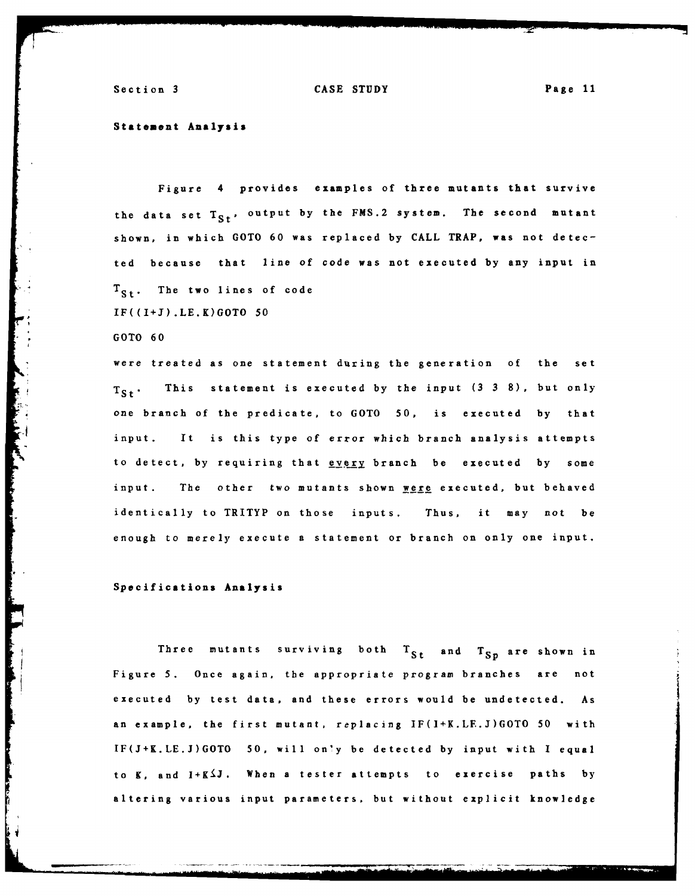#### **Statement Analysis**

Figure 4 provides examples of three mutants that survive the data set  $T_{S_t}$ , output by the **FMS.2** system. The second mutant shown, in which **GOTO 60** was replaced **by CALL** TRAP, was not detected because that line of code was not executed **by** any input in  $T_{S_{\pm}}$ . The two lines of code **IF((I+J).LE.K)GOTO 50**

**GOTO 60**

were treated as one statement during the generation **of** the set  $T_{St}$ . This statement is executed by the input  $(3\ 3\ 8)$ , but only one branch of the predicate, to **GOTO 50,** is executed **by** that input. It is this type of error which branch analysis attempts to detect, by requiring that **every** branch be executed by some input. The other two mutants shown were executed, but behaved identically to TRITYP on those inputs. Thus, it may not be enough to merely execute a statement or branch on only one input.

Specifications Analysis

Three mutants surviving both  $T_{St}$  and  $T_{Sp}$  are shown in Figure **5.** Once again, the appropriate program branches are not executed **by** test data, and these errors would be undetected. As an example, the first mutant, replacing **IF(I+K.LE.J)GOTO** 50 with **IF(J+K.LE.J)GOTO 50,** will only be detected by input with I equal to **K,** and **I+K J.** When **a** tester attempts to exercise paths **by** altering various input parameters, but without explicit knowledge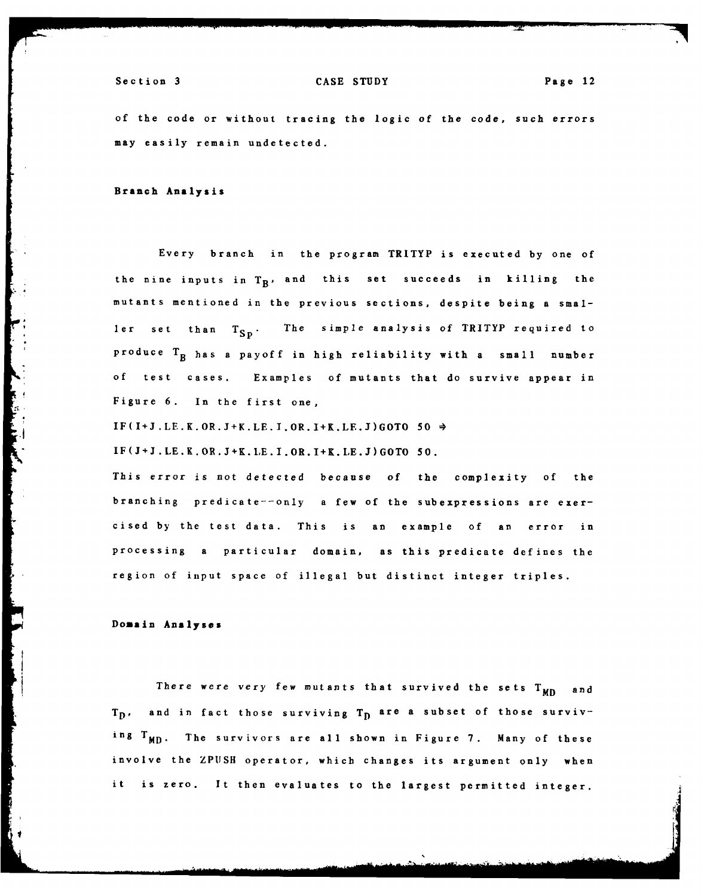of the code or without tracing the logic of the code, such errors may easily remain undetected.

Branch **Analysis**

Every branch in the program TRITYP is executed **by** one of the nine inputs in  $T_B$ , and this set succeeds in killing the mutants mentioned in the previous sections, despite being a **smal**ler set than  $T_{SD}$ . The simple analysis of TRITYP required to produce  $T_B$  has a payoff in high reliability with a small number **of** test cases. Examples of mutants that do survive appear in Figure **6.** In the first one,

IF(I+J.LE.K.OR.J+K.LE.I.OR.I+K.LE.J)GOTO **50** 4

**IF(J+J.LE.K.OR.J+K.LE.I.OR.I+K.LE.J)GOTO 50.**

This error is not detected because **of** the complexity **of** the branching predicate--only a few of the subexpressions are exercised **by** the test data. This is an example of an error in processing a particular domain, as this predicate defines the region of input space of illegal but distinct integer triples.

**Domain Analyses**

**Contractor** 

There were very few mutants that survived the sets T<sub>MD</sub> and T<sub>D</sub>, and in fact those surviving T<sub>D</sub> are a subset of those surviving TMD. The survivors are all shown in Figure **7.** Many of these involve the **ZPUSH** operator, which changes its argument only when it is zero. It then evaluates to the largest permitted integer.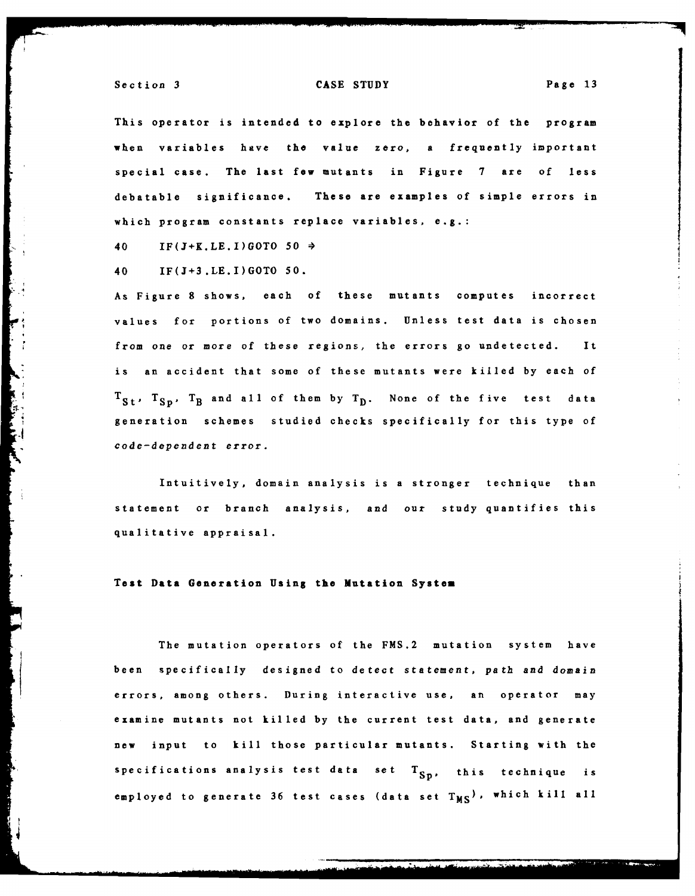This operator is intended to explore the behavior of the program when variables have the value zero, a frequently important special case. The last few mutants in Figure **7** are of less debatable significance. These are examples of simple errors in which program constants replace variables, e.g.:

40 **IF(J+K.LE.I)GOTO 50**

40 IF(J+3.LE.I)GOTO **50.**

As Figure **8** shows, each of these mutants computes incorrect values for portions of two domains. Unless test data is chosen from one or more of these regions, the errors go undetected. It is an accident that some of these mutants were killed **by** each of  $T_{St}$ ,  $T_{Sp}$ ,  $T_B$  and all of them by  $T_D$ . None of the five test data generation schemes studied checks specifically for this type of code-dependent error.

Intuitively, domain analysis is a stronger technique than statement or branch analysis, and our study quantifies this qualitative appraisal.

#### Test Data Generation Using **the** Mutation **System**

The mutation operators of the **FMS.2** mutation system have been specifically designed to detect statement, path and domain errors, among others. During interactive use, an operator may examine mutants not killed **by** the current test data, and generate new input to kill those particular mutants. Starting with the specifications analysis test data set T<sub>Sp</sub>, this technique is employed to generate 36 test cases (data set T<sub>MS</sub>), which kill all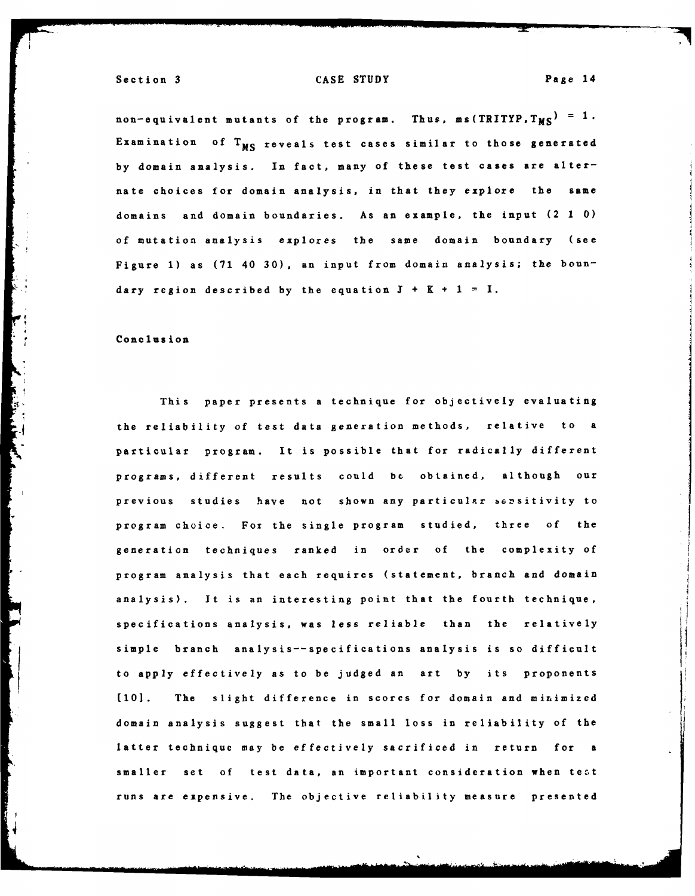non-equivalent mutants of the program. Thus,  $ms(TRITYP, T_{MS}) = 1$ . Examination of  $T_{MS}$  reveals test cases similar to those generated **by** domain analysis. In fact, many of these test cases are alternate choices for domain analysis, in that they explore the same domains and domain boundaries. As an example, the input (2 **1 0)** of mutation analysis explores the same domain boundary (see Figure **1)** as **(71** 40 **30),** an input from domain analysis; the boundary region described by the equation  $J + K + 1 = I$ .

#### Conclusion

This paper presents a technique for objectively evaluating the reliability of test data generation methods, relative to a particular program. It is possible that for radically different programs, different results could **be** obtained, although our previous studies have not shown any particular sensitivity to program choice. Fox the single program studied, three **of** the generation techniques ranked in order of the complexity of program analysis that each requires (statement, branch and domain analysis). It is an interesting point that the fourth technique, specifications analysis, was less reliable than the relatively simple branch analysis--specifications analysis is so difficult to apply effectively as to be judged an art **by** its proponents **(10].** The slight difference in scores for domain and minimized domain analysis suggest that the small loss in reliability of the latter technique may be effectively sacrificed in return for a smaller set **of** test data, an important consideration when tezt runs are expensive. The objective reliability measure presented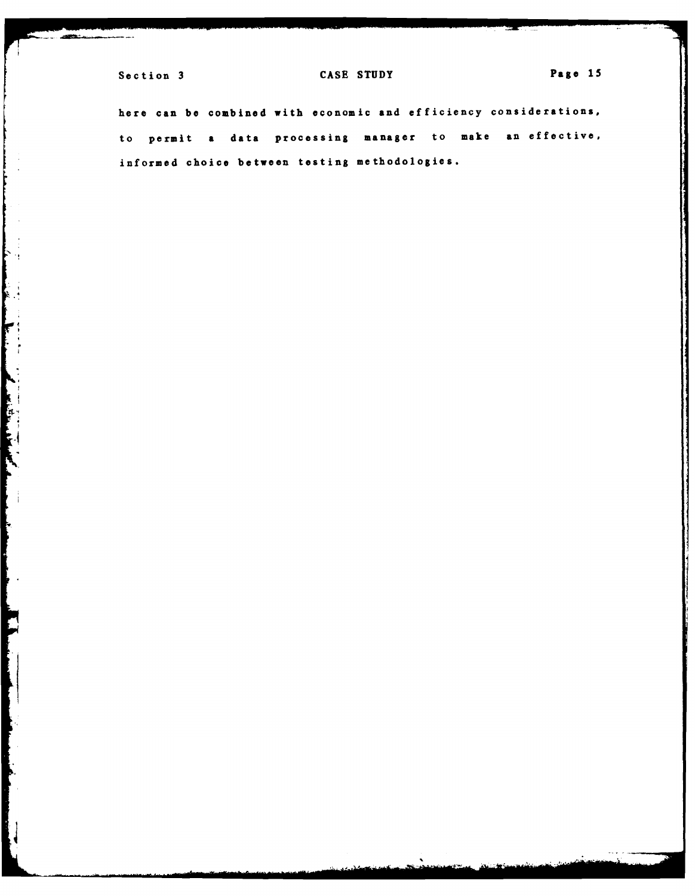k. In the second company of the second company of the second company of the second company of the second company of the second company of the second company of the second company of the second company of the second company

**FEE** 

**Communication of the Communication** 

## Section 3 CASE STUDY **Page 15**

here can **be** combined with economic and efficiency considerations, to permit a data processing manager to make an effective, informed choice between testing methodologies.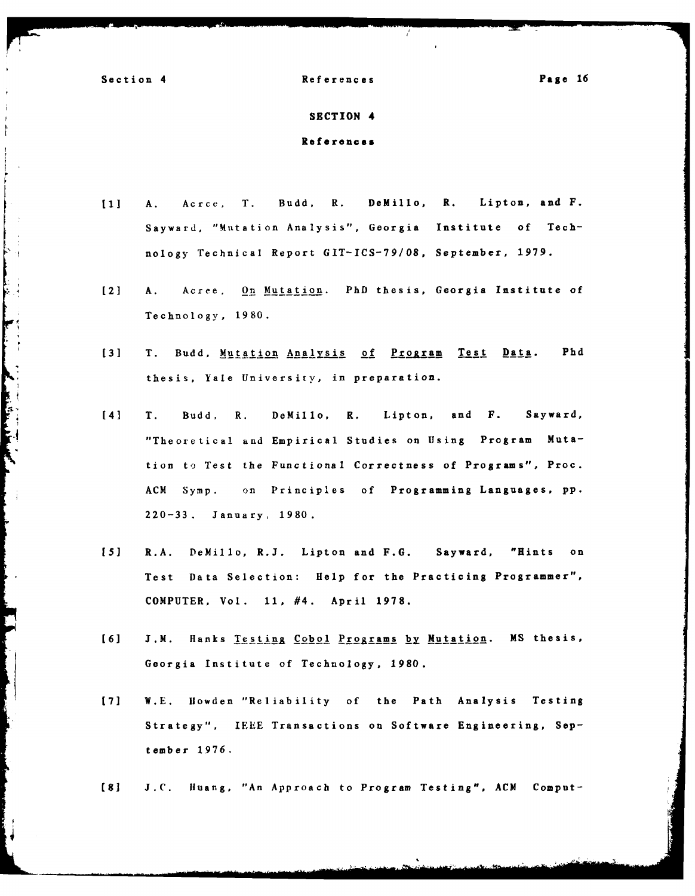**Contract Contract Contract Contract Contract Contract Contract Contract Contract Contract Contract Contract Contract Contract Contract Contract Contract Contract Contract Contract Contract Contract Contract Contract Contr** 

Section 4 References Page **16**

#### **SECTION 4**

References

- **[I] A.** Acrce, T. Budd, R. DeMillo, R. Lipton, and F. Sayward, "Mutation Analysis", Georgia Institute of Technology Technical Report **GIT-ICS-79/08,** September, **1979.**
- **[2]** A. Acree. On Mutation. PhD thesis, Georgia Institute of Technology, **1980.**
- **[3]** T. Budd, Mutation Analysis of Program Test Data. **Phd** thesis, Yale University, in preparation.
- [41 T. Budd, R. DeMillo, R. Lipton, and F. Sayward, "Theoretical and Empirical Studies on Using Program Mutation to Test the Functional Correctness of Programs", Proc. **ACM** Symp. on Principles of Programming Languages, **pp. 220-33.** January, 1980.
- **[5]** R.A. DeMillo, R.J. Lipton and **F.G.** Sayward, "Hints on Test Data Selection: Help for the Practicing Programmer", COMPUTER, Vol. **11,** #4. April **1978.**
- [6] J.M. Hanks Testing Cobol Programs by Mutation. MS thesis, Georgia Institute of Technology, **1980.**
- **[71** W.E. llowden "Reliability **of** the Path Analysis Testing Strategy". **IEEE** Transactions on Software Engineering, **Sep**tember **1976.**
- **(8] J.C.** Huang, "An Approach to Program Testing", **ACM** Comput-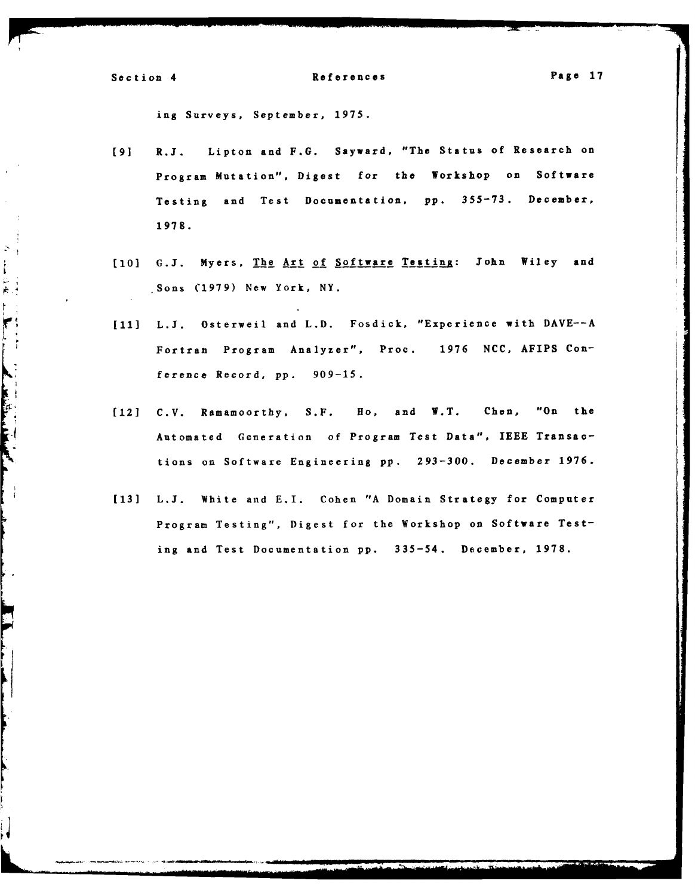$\mathbb{R}^2$ 

计位点上

**CONTRACTOR** 

 $\frac{1}{2}$ 

h

## Section 4 References **Page 17**

ing Surveys, September, **1975.**

- **[9]** R.J. Lipton and **F.G.** Sayward, "The Status of Research on Program Mutation", Digest **for** the Workshop on Software Testing and Test Documentation, **pp. 355-73.** December, **1978.**
- **[10] G.J.** Myers, The Art of Software Testing: John Wiley and Sons **(1979)** New York, NY.
- **[11] L.J.** Osterweil and L.D. Fosdick, "Experience with **DAVE--A** Fortran Program Analyzer", Proc. **1976 NCC,** AFIPS Conference Record, **pp. 909-15.**
- **[12] C.V.** Ramamoorthy, **S.F. Ho,** and W.T. Chen, "On the Automated Generation of Program Test Data", **IEEE** Transactions on Software Engineering **pp. 293-300.** December **1976.**
- **[13] L.J.** White and E.I. Cohen **"A** Domain Strategy for Computer Program Testing", Digest for the Workshop on Software Testing and Test Documentation **pp.** 335-54. December, **1978.**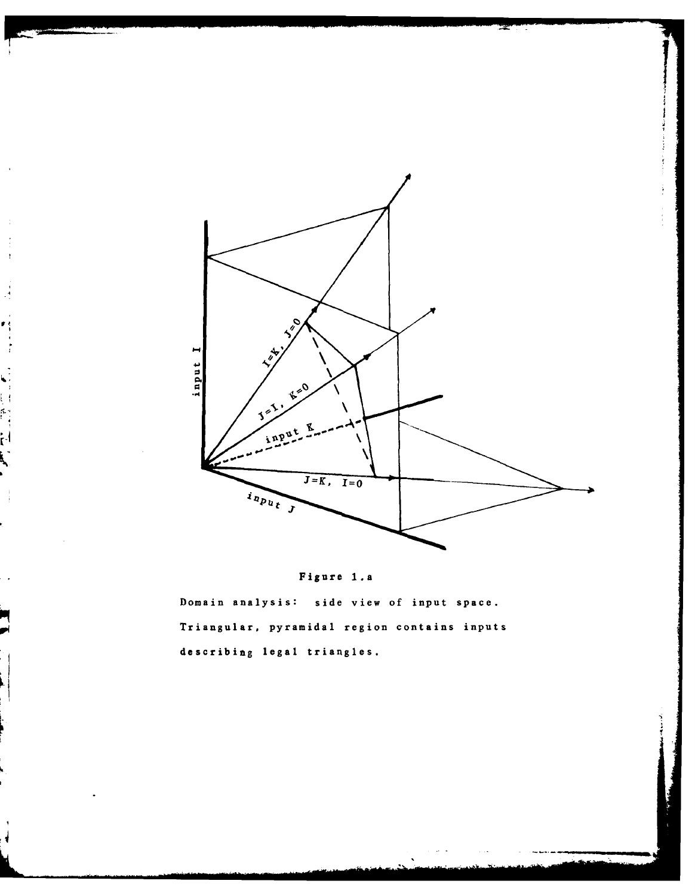

Domain analysis: side view of input space. Triangular, pyramidal region contains inputs describing legal triangles.

i<br>interferencer in de forme de la partie de la partie de la partie de la partie de la partie de la partie de la<br>interference de la partie de la partie de la partie de la partie de la partie de la partie de la partie de la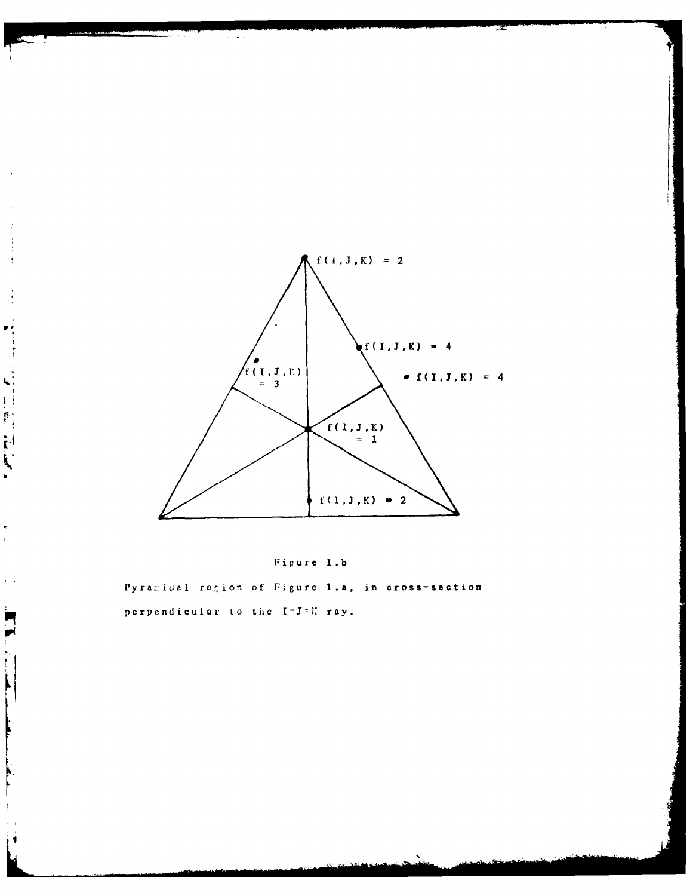

 $\frac{1}{2}$ Í

 $\cdot$  ,

 $\begin{array}{c} 1 \\ 1 \\ 2 \end{array}$ 

 $\frac{1}{4}$ 

 $\bullet$  $\bar{\mathbf{r}}$ 

 $\mathbf{y} = \mathbf{y}$ 

 $\blacksquare$  $\blacksquare$ 

 $\ddot{\phantom{a}}$ 

 $\mathbf{\mu}$ 



Pyramidal region of Figure 1.a, in cross-section perpendicular to the I=J=K ray.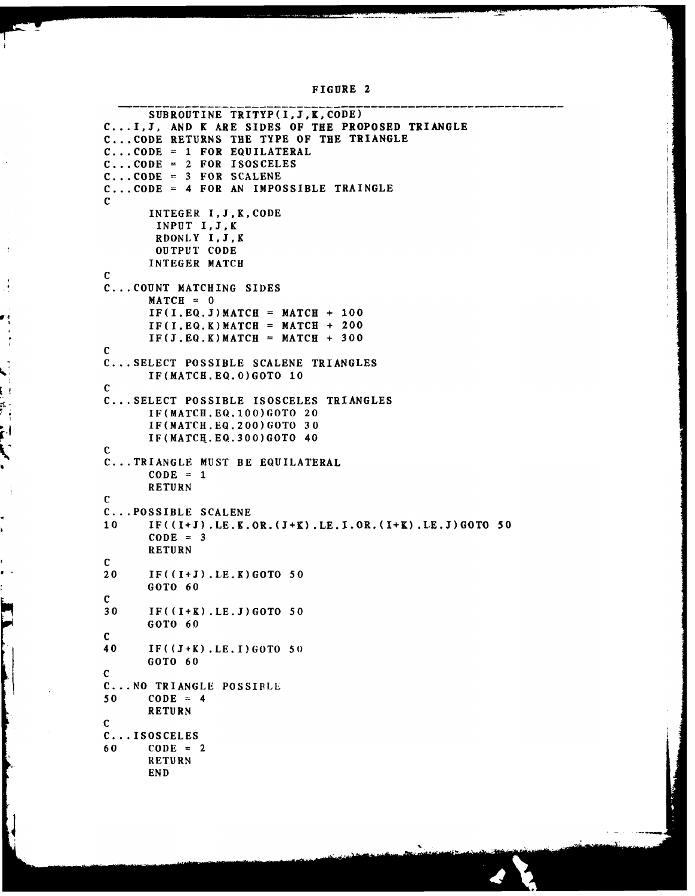```
FIGURE 2
```

```
SUBROUTINE TRITYP(I, J, K, CODE)
          C... .1,3, AND K ARE SIDES OF THE PROPOSED TRIANGLE
          C... .CODE RETURNS THE TYPE OF THE TRIANGLE
          C... CODE = 1 FOR EQUILATERAL
          C ... CODE =2 FOR ISOSCELES
          C ... CODE =3 FOR SCALENE
          C ... CODE =4 FOR AN IMPOSSIBLE TRAINGLE
          C
                 INTEGER I,J,K,CODE
                  INPUT I,J.,K
                  RDONLY I,J,K
                  OUTPUT CODE
                 INTEGER MATCH
          C
          C... COUNT MATCHING SIDES
                 MATCH = 0IF(I.EQ.J) \text{MATCH} = \text{MATCH} + 100IF(I,EQ, K)MATCH = MATCH + 200
                 IF(J.EQ.K)MATCH = MATCH + 300C
          C ... SELECT POSSIBLE SCALENE TRIANGLES
                 IF(MATCH.EQ.O)GOTO 10
v C
          C ... SELECT POSSIBLE ISOSCELES TRIANGLES
                 IF(MATCH.EQ.100)GOTO 20
                 IF(MATCH.EQ.200)GOTO 30
                 IF(MATCH.EQ.300)GOTO 40
          C
          C... TRIANGLE MUST BE EQUILATERAL
                 CODE = 1RETURN
          C
          C ... POSSIBLE SCALENE
          10 IF((I4J).LE.K.OR.(J+K).LE.I.OR.(I+K).LE.J)GOTO 50
                 CODE = 3RETURN
          \frac{c}{20}20 IF((I+J).LE.K)GOTO 50
                 GOTO 60
          C
          30 IF((I+K).LE.J)GOTO 50
                 GOTO 60
          C
          40 IF((J-4K).LE.I)GOTO 50)
                 GOTO 60
          C
          C ... NO TRIANGLE POSSIPLL
          50 \t\t \text{CODE} = 4RETURN
          C
          C ... ISOSCELES
          60 CODE = 2
                 RETURN
                 END
```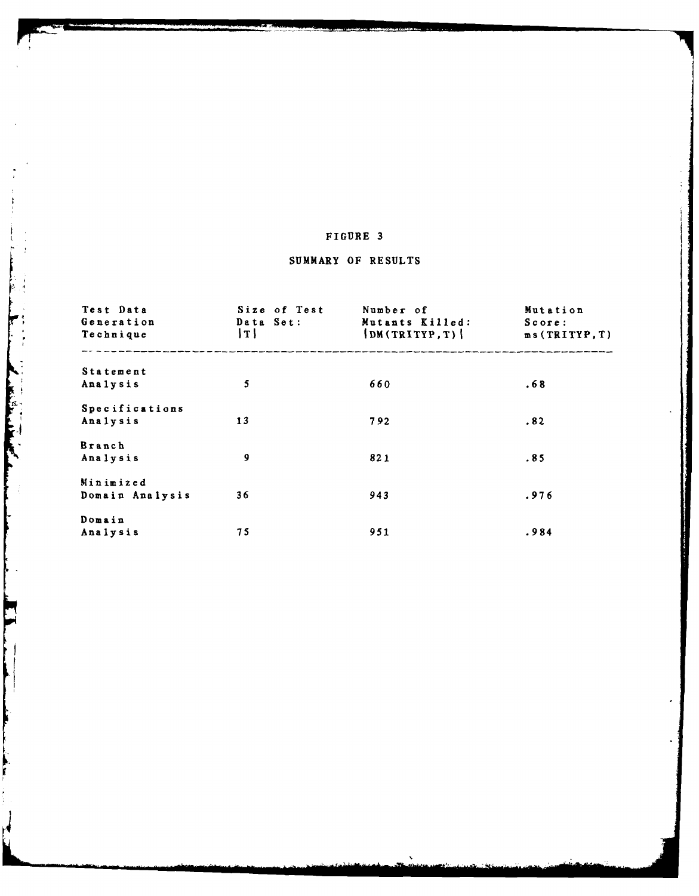# SUMMARY OF **RESULTS**

| Test Data<br>Generation<br>Technique | Size of Test<br>Data Set:<br>$\lceil T \rceil$ | Number of<br>Mutants Killed:<br> DM(TRITYP, T) | Mutation<br>Score:<br>ms(TRITYP,T) |
|--------------------------------------|------------------------------------------------|------------------------------------------------|------------------------------------|
| <b>Statement</b>                     |                                                |                                                |                                    |
| Analysis                             | 5                                              | 660                                            | .68                                |
| Specifications                       |                                                |                                                |                                    |
| Analysis                             | 13                                             | 792                                            | .82                                |
| <b>Branch</b>                        |                                                |                                                |                                    |
| Analysis                             | 9                                              | 821                                            | .85                                |
| Minimized                            |                                                |                                                |                                    |
| Domain Analysis                      | 36                                             | 943                                            | .976                               |
| Domain                               |                                                |                                                |                                    |
| Analysis                             | 75                                             | 951                                            | .984                               |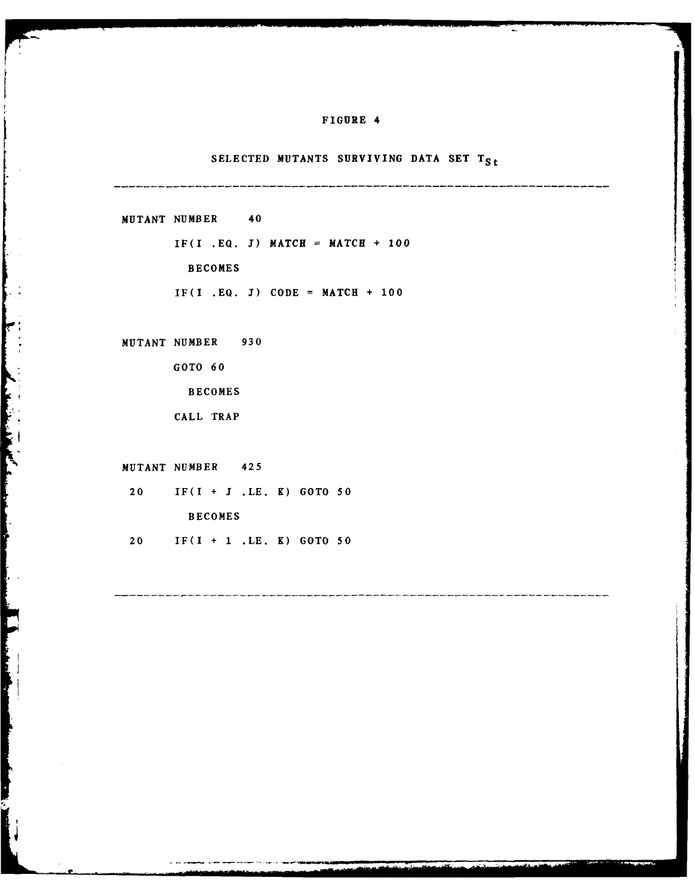## SELECTED MUTANTS SURVIVING DATA SET T<sub>St</sub>

**MUTANT NUMBER** 40  $IF(I .EQ. J)$  **MATCH = MATCH + 100 BECOMES**  $IF(I .EQ. J) CODE = MATCH + 100$ 

**MUTANT NUMBER 930**

**GOTO 60**

**BECOMES**

CALL TRAP

**MUTANT NUMBER** 425

Ê

F

20 IF(I **+ I .LE.** K) **GOTO 50 BECOMES**

20 IF(I **+ 1 .LE.** K) **GOTO 50**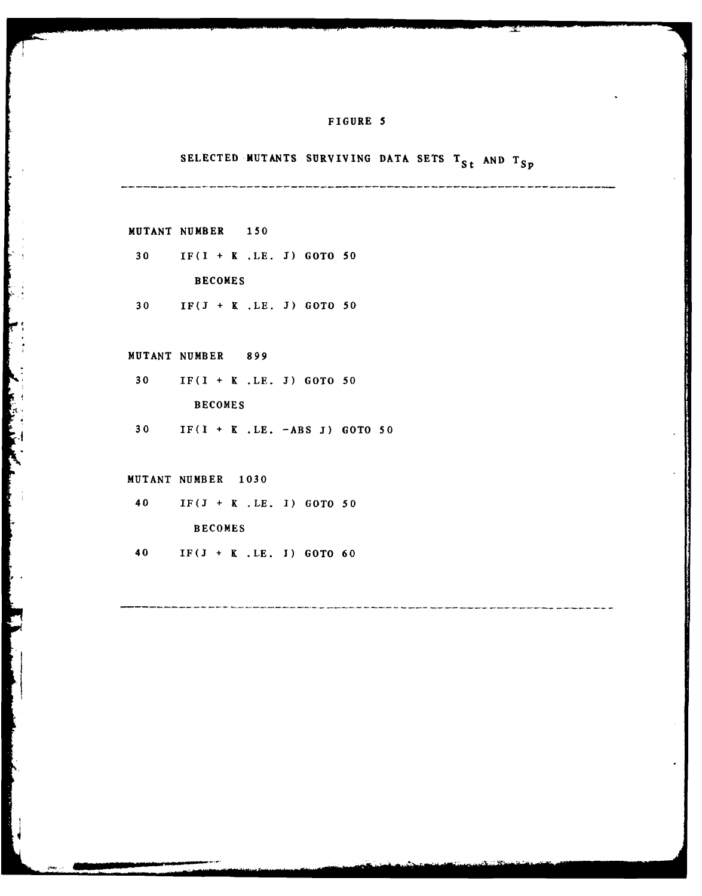# SELECTED MUTANTS SURVIVING DATA SETS T<sub>St</sub> AND T<sub>Sp</sub>

- **MUTANT** NUMBER *150*
- **30** IF(I **+** K **.LE. J) GOTO 50**

**BECOMES**

**30 IF(J +** K **.LE. J) GOTO 50**

**MUTANT NUMBER 899**

- **30** IF(I **+** K **.LE. J) GOTO 50 BECOMES**
- **30** IF(I **+** K **.LE. -ABS J) GOTO 50**

#### **MUTANT NUMBER** *1030*

*Contractor Communications* 

<sup>40</sup>IF(J **+** K **.LE. 1) GOTO** *<sup>50</sup>*

**BECOMES**

40 **IF(J +** K **.LE. I) GOTO 60**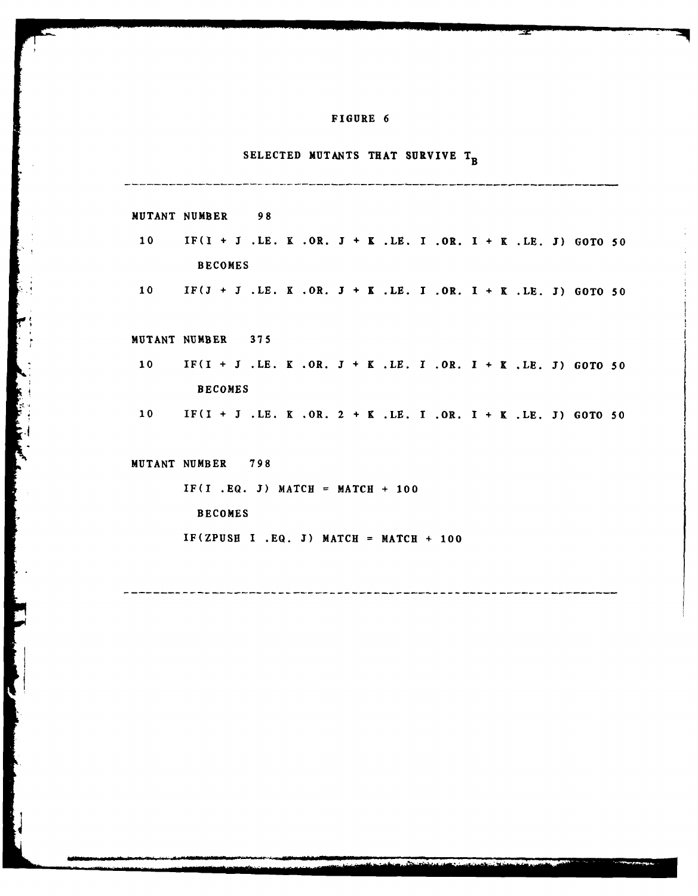# **SELECTED MUTANTS THAT SURVIVE T<sub>B</sub>**

|                 | MUTANT NUMBER<br>98                                            |
|-----------------|----------------------------------------------------------------|
| 10              | $IF(I + J .LE. K .OR. J + K .LE. I .OR. I + K .LE. J) GOTO 50$ |
|                 | <b>BECOMES</b>                                                 |
| 10              | $IF(J + J .LE. K .OR. J + K .LE. I .OR. I + K .LE. J) GOTO 50$ |
|                 |                                                                |
|                 | MUTANT NUMBER 375                                              |
| 10 <sub>1</sub> | $IF(I + J .LE. K .OR. J + K .LE. I .OR. I + K .LE. J) GOTO 50$ |
|                 | <b>BECOMES</b>                                                 |
| 10 <sub>1</sub> | IF(I + J.LE. K.OR. 2 + K.LE. I.OR. I + K.LE. J) GOTO 50        |
|                 |                                                                |
|                 | MUTANT NUMBER 798                                              |
|                 | $IF(I .EQ. J) MATICH = MATICH + 100$                           |
|                 | <b>BECOMES</b>                                                 |
|                 | $IF(ZPUSH I .EQ. J) MATCH = MATCH + 100$                       |
|                 |                                                                |
|                 |                                                                |
|                 |                                                                |

 $\ddot{\cdot}$ 

**Print** 

P

ł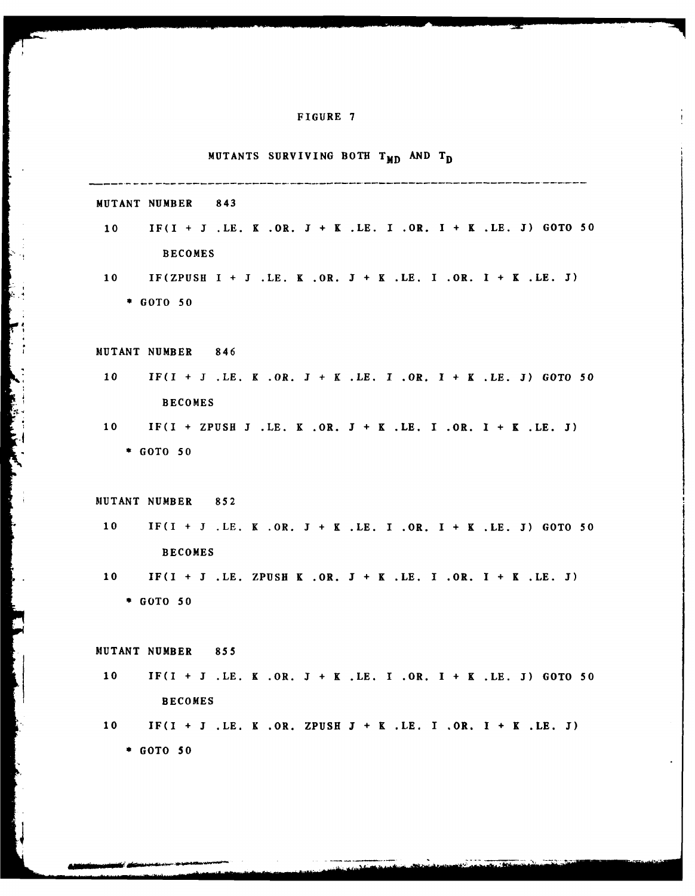**MUTANTS SURVIVING BOTH T<sub>MD</sub> AND T<sub>D</sub> MUTANT NUMBER** 843 **10** IF(I **+ J .LE.** K .OR. **J +** K **.LE.** I .OR. **I +** K **.LE. J) GOTO 50 BECOMES 10** IF(ZPUSH **I + J .LE.** K .OR. **J +** K **.LE.** I .0R. **I +** K **.LE. J) \*GOTO 50 MUTANT NUMBER** 846 **10** IF(I **+** J **.LE.** K .OR. **J1 +** K **.LE. I** OR1. **I +** K **.LE. J1) GOTO 50** \* **BECOMES 10** IF(I **+ ZPUSH** 3 **.LE.** K .0R. **J +** K **.LE.** I .0R. **I +** K **.LE. J) \*GOTO 50** MUTANT **NUMBER 852** \* **10** IF(I **+ J .LE.** K .OR. **J +** K **.LE. I** .OR. I **+** K **.LE. 3) GOTO 50 BECOMES 10** IF(I **+ J .LE. ZPUSH** K .OR. **J +** K **.LE. I** .0R. **I +** K **.LE. J) \*GOTO 50 MUTANT NUMBER 855 10** IF(I **+ J .LE.** K OR1. **I +** K **.LE. I** .OR. **I +** K **.LE. J) GOTO 50 BECOMES 10** IF(I **+** 3 **.LE.** K .0R. **ZPUSH J +** K **.LE. I** OR. **I +** K **.LE. 3) \*GOTO 50**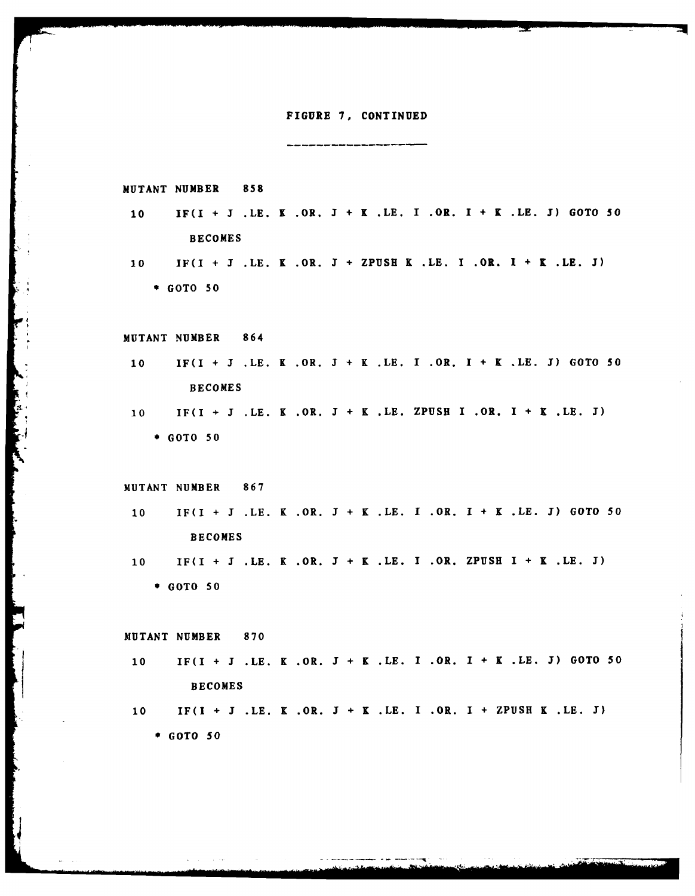#### **FIGURE 7, CONTINUED**

والمستوالين فتناه والمتواصل والمتواطن ويتبه المتعاديات المتوارث والمتواطن والمتواطن

**MUTANT NUMBER 858**

- **10** IF(I + **J .LE.** K .OR. **J** + K **.LE. I** .OR. **I** + K **.LE. J) GOTO 50 BECOMES**
- **10** IF(I **+ I .LE.** K .OR. **J + ZPUSH** K **.LE. I** .OR. **I +** K .LE. **J) \* GOTO 50**

\* **MUTANT NUMBER** 864

**10** IF(I **+ J .LE.** K .OR. **J +** K **.LE. I** .OR. **I +** K **.LE. J) GOTO 50 BECOMES**

**10** IF(I **+ J LE.** K OR. **J +** K **LE. ZPUSH** I OR. **I +** K LE. **J) \* GOTO** 50

**MUTANT NUMBER 867**

**10** IF(I **+ J .LE.** K .OR. **J +** K **.LE. I** .OR. I **+** K **.LE. 3) GOTO 50 BECOMES**

**10** IF(I **+ J .LE.** K .OR. **J +** K **.LE. I** .OR. **ZPUSH** I **+** K **.LE. J)** \* **GOTO 50**

**MUTANT NUMBER 870**

- **10** IF(I **+ J .LE.** K .OR. **J +** K **.LE. I** .OR. **I +** K **.LE. J) GOTO 50 BECOMES**
- **10** IF(I **+ J .LE.** K .OR. **J +** K **.LE.** I .OR. **I + ZPUSH** K .LE. **3)** \* **GOTO 50**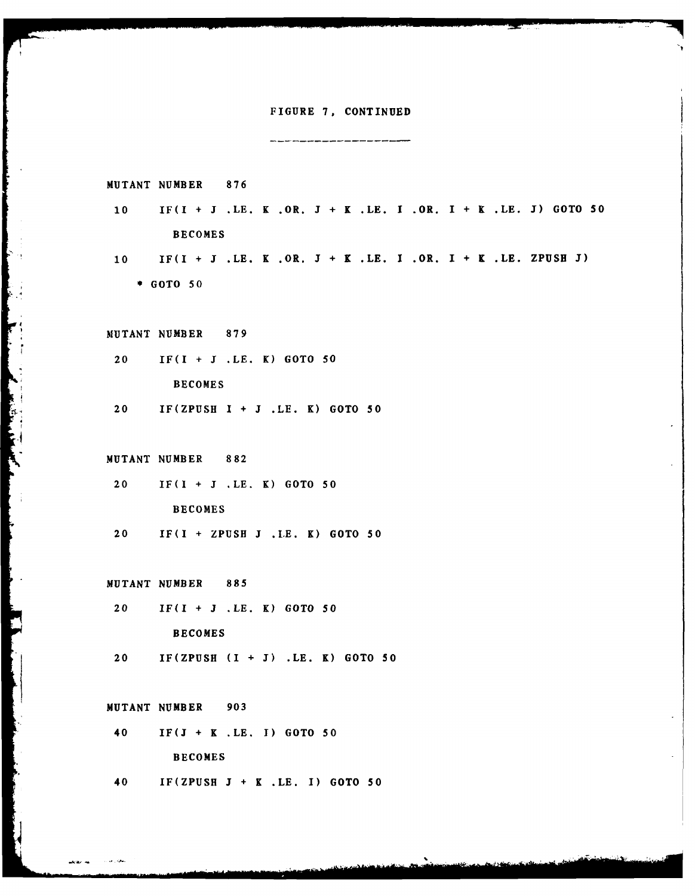#### **FIGURE 7, CONTINUED**

---------------------

**MUTANT NUMBER 876 10** IF(I **+ J .LE.** K .OR. **J +** K **.LE. I** .OR. I **+** K .LE. **J) GOTO 50 BECOMES 10** IF(I **+ J .LE.** K .OR. **J +** K **.LE. I** .OR. **I +** K **.LE. ZPUSH J) GOTO 50 MUTANT NUMBER 879** 20 IF(I + **J .LE.** K) **GOTO 50 BECOMES** 20 **IF(ZPUSH** I **+ J .LE.** K) **GOTO 50 MUTANT NUMBER 882** 20 IF(1 + 3 **.LE.** K) **GOTO 50 BECOMES** 20 IF(I + **ZPUSH J .LE.** K) GOTO **50 MUTANT NUMBER** 885 20 IF(I + **J** .LE. K) GOTO 50 **BECOMES** 20 **IF(ZPUSH** (I **+ J) .LE.** K) **GOTO 50 MUTANT NUMBER 903** 40 **IF(J +** K **.LE. I) GOTO 50 BECOMES** 40 **IF(ZPUSH** J **+** K **.LE. I) GOTO 50**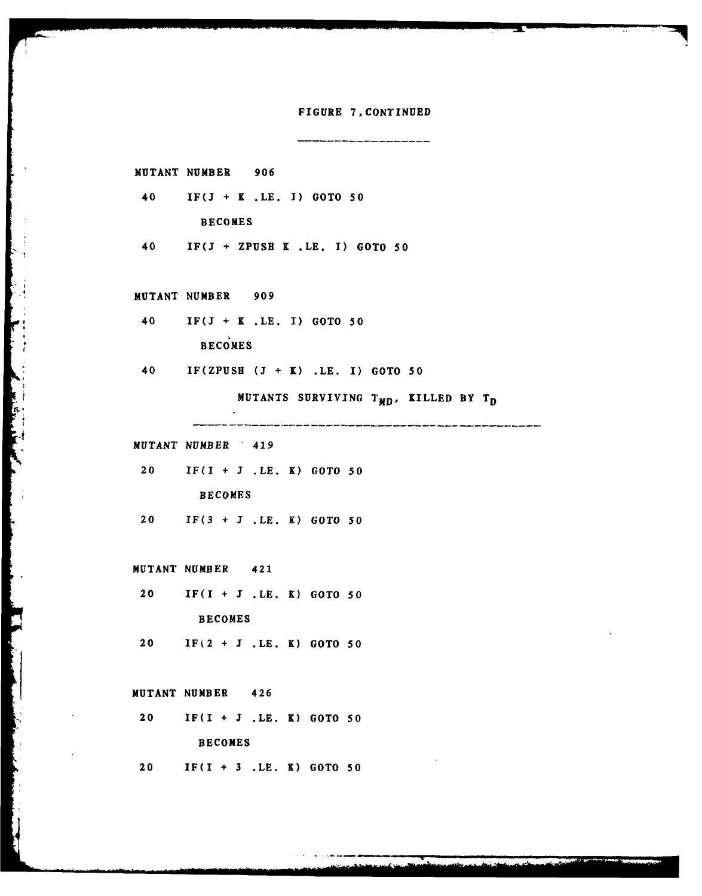**FIGURE 7,CONTINUED**

**MUTANT NUMBER 906** 40 **IF(J +** K **.LE. I) GOTO 50 BECOMES** 40 **IF(J + ZPUSH** K **.LE, I) GOTO 50 MUTANT NUMBER 909** 40 IF(J **+** K **.LE.** I) **GOTO 50 BECOMES** 40 IF(ZPUSH **(J +** K) **.LE. I) GOTO 50 MUTANTS SURVIVING T<sub>MD</sub>, KILLED BY T<sub>D</sub> MUTANT NUMBER** 419 20 IF(I **+ J .LE.** K) **GOTO 50 BECOMES** 20 **IF(3 +** J **.LE.** K) **GOTO 50 MUTANT NUMBER** 421 20 IF(I **+** J **.LE.** K) **GOTO 50 BECOMES** 20 IF(2 **+ J .LE.** K) **GOTO 50 MUTANT NUMBER** 426 20 IF(I **+ J .LE.** K) **GOTO 50 BECOMES** 20 IF(I **+ 3 .LE.** K) **GOTO 50**

and the company of the company of the company of the company of the company of the company of the company of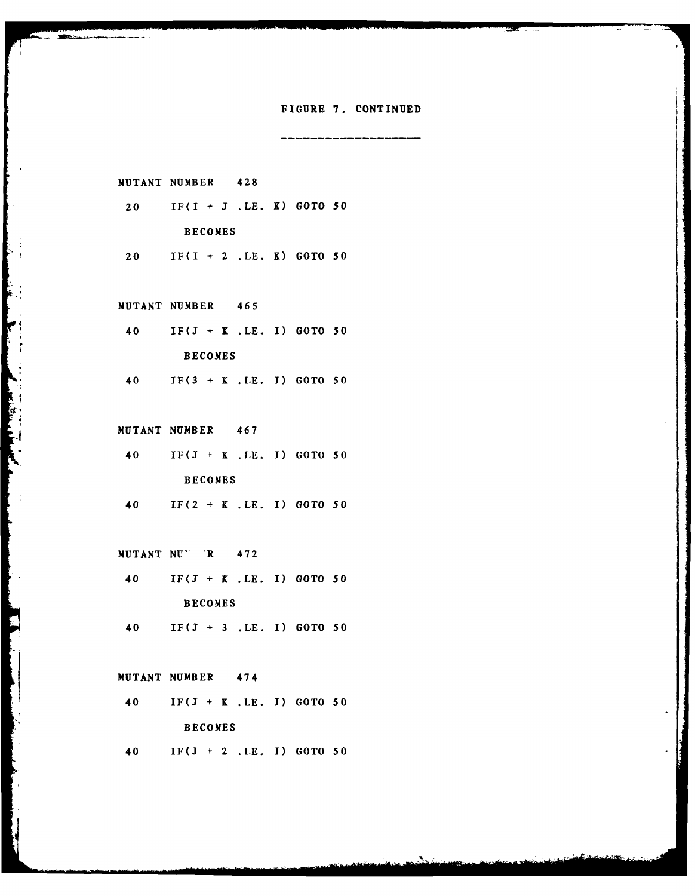#### **FIGURE 7, CONTINUED**

an dina kaominina ary ary ary ary ary ary ara-daharanjarahasin'ilay kaominina dia kaominina ary ary ary ary ar

**MUTANT NUMBER** 428

- 20 IF(I **+ I** .LE. K) **GOTO 50 BECOMES**
- 20 IF(I **+** 2 **.LE.** K) **GOTO 50**

**MUTANT NUMBER** 465

40 **IF(J +** K **.LE. 1) GOTO 50 BECOMES** 40 **IF(3 +** K **.LE. 1) GOTO 50**

**MUTANT NUMBER** 467

- 40 **IF(J +** K **.LE. 1) GOTO 50 BECOMES**
- 40 IF(2 **+** K **.LE. 1) GOTO 50**

**MUTANT NU'** 'R 472

- 40 **IF(3 +** K **.LE. 1) GOTO 50 BECOMES**
- 40 IF(J **+ 3 .LE. 1) GOTO 50**

**MUTANT NUMBER** 474

40 **IF(J +** K **.LE. I) GOTO 50 BECOMES** 40 IF(J **+** 2 **.LE. 1) GOTO 50**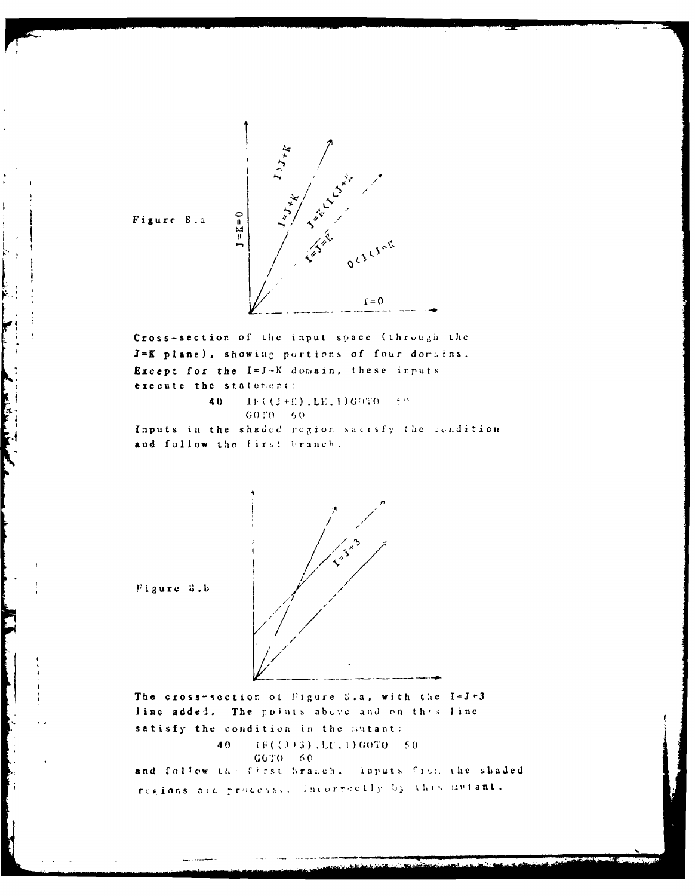

Figure 8.a

**Contract of the Charles** 

the company of the company of the company of the company of the company of the company of the company of the company of

Cross-section of the input space (through the J=K plane), showing portions of four dorains. Except for the I=J=K domain, these inputs execute the statement: 40  $1F((J+E),LE, 1)G0TO = 59$  $GOTO = 60$ 

Inputs in the shaded region satisfy the cendition and follow the first branch.



Figure 3.b

The cross-section of Figure 5.a, with the  $I=J+3$ line added. The points above and on this line satisfy the condition in the mutant: 40  $IF((J+3), LI, 1) GOTO = 50$  $GOTO = 60$ and follow the first branch. Inputs from the shaded

regions are processed incorpectly by this mutant.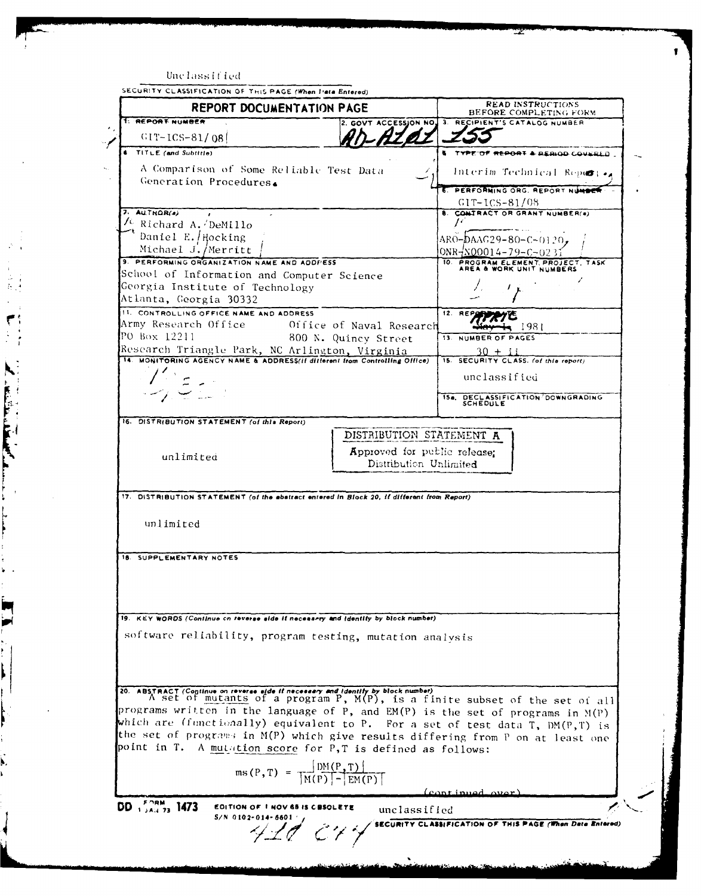| REPORT DOCUMENTATION PAGE                                                                                                                                        |                              | <b>READ INSTRUCTIONS</b><br>BEFORE COMPLETING FORM                                           |
|------------------------------------------------------------------------------------------------------------------------------------------------------------------|------------------------------|----------------------------------------------------------------------------------------------|
| 1: REPORT NUMBER                                                                                                                                                 |                              | 2. GOVT ACCESSION NO. 3. RECIPIENT'S CATALOG NUMBER                                          |
| $GIT-ICS-81/081$                                                                                                                                                 |                              |                                                                                              |
| <b>6</b> TITLE (and Subtitle)                                                                                                                                    |                              | <b>5 TYPE OF REPORT &amp; REALGO COULELD.</b>                                                |
| A Comparison of Some Reliable Test Data                                                                                                                          |                              | Interim Technical Reports.                                                                   |
| Generation Procedures.                                                                                                                                           |                              |                                                                                              |
|                                                                                                                                                                  |                              | 6. PERFORNING ORG. REPORT NUMBER<br>$GIT-ICS-81/08$                                          |
| $7.$ AUTHOR(s)                                                                                                                                                   |                              | 8. CONTRACT OR GRANT NUMBER(a)                                                               |
| $\frac{1}{\sqrt{2}}$ Richard A. <i>DeMillo</i>                                                                                                                   |                              |                                                                                              |
| Daniel E. Hocking<br>Michael J./Merritt                                                                                                                          |                              | $ARO-DAAG29-80-C-0120$                                                                       |
| 9. PERFORMING ORGANIZATION NAME AND ADDIVESS                                                                                                                     |                              | $ONR + N00014 - 79 - C - 0231$<br>10. PROGRAM ELEMENT PROJECT, TASK AREA & WORK UNIT NUMBERS |
| School of Information and Computer Science                                                                                                                       |                              |                                                                                              |
| Georgia Institute of Technology                                                                                                                                  |                              |                                                                                              |
| Atlanta, Georgia 30332                                                                                                                                           |                              |                                                                                              |
| 11. CONTROLLING OFFICE NAME AND ADDRESS<br>Army Research Office                                                                                                  | - Office of Naval ResearcH   | 12. RE                                                                                       |
| PO Box 12211                                                                                                                                                     | 800 N. Quincy Street         | 1981<br><b>13. NUMBER OF PAGES</b>                                                           |
| Research Triangle Park, NC Arlington, Virginia<br>14. MONITORING AGENCY NAME & ADDRESS(if different from Controlling Office)                                     |                              | $30 + i i$                                                                                   |
|                                                                                                                                                                  |                              | 15. SECURITY CLASS. (of this report)                                                         |
|                                                                                                                                                                  |                              | unclassified                                                                                 |
|                                                                                                                                                                  |                              | 15a. DECLASSIFICATION DOWNGRADING                                                            |
|                                                                                                                                                                  |                              | SCHEDULE                                                                                     |
| 16. DISTRIBUTION STATEMENT (of this Report)                                                                                                                      |                              |                                                                                              |
|                                                                                                                                                                  | DISTRIBUTION STATEMENT A     |                                                                                              |
| unlimited                                                                                                                                                        | Approved for public release; |                                                                                              |
|                                                                                                                                                                  | Distribution Unlimited       |                                                                                              |
|                                                                                                                                                                  |                              |                                                                                              |
| 17. DISTRIBUTION STATEMENT (of the abatract entered in Block 20, if different from Report)                                                                       |                              |                                                                                              |
| unlimited                                                                                                                                                        |                              |                                                                                              |
|                                                                                                                                                                  |                              |                                                                                              |
|                                                                                                                                                                  |                              |                                                                                              |
| 18. SUPPLEMENTARY NOTES                                                                                                                                          |                              |                                                                                              |
|                                                                                                                                                                  |                              |                                                                                              |
|                                                                                                                                                                  |                              |                                                                                              |
|                                                                                                                                                                  |                              |                                                                                              |
| 19. KEY WORDS (Continue on reverse side if necessary and identify by block number)                                                                               |                              |                                                                                              |
| software reliability, program testing, mutation analysis                                                                                                         |                              |                                                                                              |
|                                                                                                                                                                  |                              |                                                                                              |
|                                                                                                                                                                  |                              |                                                                                              |
| 20. ABSTRACT (Continue on reverse side if necessary and identify by block number)<br>A set of mutants of a program P, M(P), is a finite subset of the set of all |                              |                                                                                              |
|                                                                                                                                                                  |                              |                                                                                              |
| programs written in the language of P, and EM(P) is the set of programs in M(P)                                                                                  |                              |                                                                                              |
|                                                                                                                                                                  |                              |                                                                                              |
| which are (functionally) equivalent to P. For a set of test data T, DM(P,T) is                                                                                   |                              |                                                                                              |
| the set of programs in M(P) which give results differing from P on at least one<br>point in T. A mutation score for P,T is defined as follows:                   |                              |                                                                                              |
|                                                                                                                                                                  |                              |                                                                                              |
| ms (P, T) = $\frac{ DM(P, T) }{ M(P)  -  EM(P) }$                                                                                                                |                              |                                                                                              |
|                                                                                                                                                                  |                              | Leont inued aver                                                                             |
| DD 1525M <sub>3</sub> 1473<br>EDITION OF I NOV 65 IS COSOLETE<br>$S/N$ 0102-014-6601 $\frac{1}{4}$                                                               | unclassified                 |                                                                                              |

 $\overline{\phantom{a}}$ 

¥

i<br>L

 $\ddot{\phantom{a}}$ 

 $\mathbf{k}$ 

ļ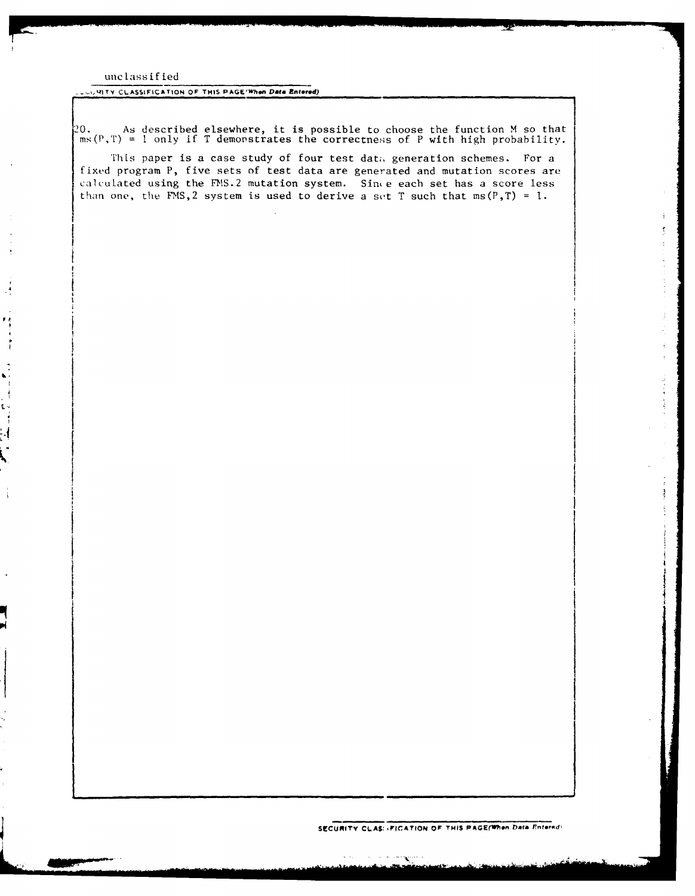#### unclassif ted

 $\begin{bmatrix} 1 \\ 1 \\ 1 \\ 1 \end{bmatrix}$ 

֦֧֦֧<br>ׇ֧֧֧֧֩֩֩֩֩֓֬֓<br>׀֘֬

#### **\_.41ITY CLASSIFICATION OF THIS PAGE'Whon Data Entered)**

20. As described elsewhere, it is possible to choose the function M so that ms(P,T) = I only if T demonstrates the correctness of P with high probability.

This paper is a case study of four test data generation schemes. For a fixed program P, five sets of test data are generated and mutation scores are calculated using the FMS.2 mutation system. Since each set has a score less than one, the FMS, 2 system is used to derive a set T such that  $ms(P,T) = 1$ .

**SECURITY CLAS: <b>***AFICATION OF THIS PAGE(When Data Enternd)*